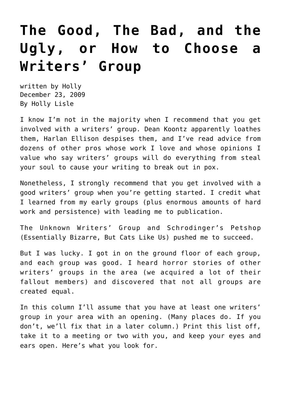## **[The Good, The Bad, and the](https://hollylisle.com/the-good-the-bad-and-the-ugly-or-how-to-choose-a-writers-group/) [Ugly, or How to Choose a](https://hollylisle.com/the-good-the-bad-and-the-ugly-or-how-to-choose-a-writers-group/) [Writers' Group](https://hollylisle.com/the-good-the-bad-and-the-ugly-or-how-to-choose-a-writers-group/)**

written by Holly December 23, 2009 [By Holly Lisle](https://hollylisle.com)

I know I'm not in the majority when I recommend that you get involved with a writers' group. Dean Koontz apparently loathes them, Harlan Ellison despises them, and I've read advice from dozens of other pros whose work I love and whose opinions I value who say writers' groups will do everything from steal your soul to cause your writing to break out in pox.

Nonetheless, I strongly recommend that you get involved with a good writers' group when you're getting started. I credit what I learned from my early groups (plus enormous amounts of hard work and persistence) with leading me to publication.

The Unknown Writers' Group and Schrodinger's Petshop (Essentially Bizarre, But Cats Like Us) pushed me to succeed.

But I was lucky. I got in on the ground floor of each group, and each group was good. I heard horror stories of other writers' groups in the area (we acquired a lot of their fallout members) and discovered that not all groups are created equal.

In this column I'll assume that you have at least one writers' group in your area with an opening. (Many places do. If you don't, we'll fix that in a later column.) Print this list off, take it to a meeting or two with you, and keep your eyes and ears open. Here's what you look for.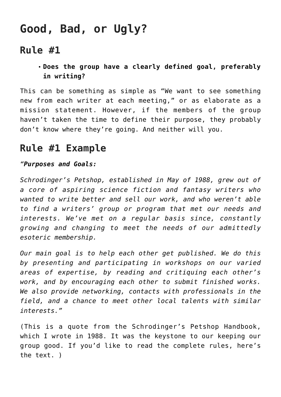## **Good, Bad, or Ugly?**

## **Rule #1**

### **Does the group have a clearly defined goal, preferably in writing?**

This can be something as simple as "We want to see something new from each writer at each meeting," or as elaborate as a mission statement. However, if the members of the group haven't taken the time to define their purpose, they probably don't know where they're going. And neither will you.

## **Rule #1 Example**

### *"Purposes and Goals:*

*Schrodinger's Petshop, established in May of 1988, grew out of a core of aspiring science fiction and fantasy writers who wanted to write better and sell our work, and who weren't able to find a writers' group or program that met our needs and interests. We've met on a regular basis since, constantly growing and changing to meet the needs of our admittedly esoteric membership.*

*Our main goal is to help each other get published. We do this by presenting and participating in workshops on our varied areas of expertise, by reading and critiquing each other's work, and by encouraging each other to submit finished works. We also provide networking, contacts with professionals in the field, and a chance to meet other local talents with similar interests."*

(This is a quote from the Schrodinger's Petshop Handbook, which I wrote in 1988. It was the keystone to our keeping our group good. [If you'd like to read the complete rules, here's](https://hollylisle.com/articles/sp-member-handbook/) [the text. \)](https://hollylisle.com/articles/sp-member-handbook/)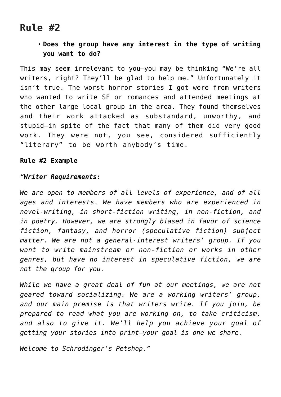## **Rule #2**

### **Does the group have any interest in the type of writing you want to do?**

This may seem irrelevant to you—you may be thinking "We're all writers, right? They'll be glad to help me." Unfortunately it isn't true. The worst horror stories I got were from writers who wanted to write SF or romances and attended meetings at the other large local group in the area. They found themselves and their work attacked as substandard, unworthy, and stupid—in spite of the fact that many of them did very good work. They were not, you see, considered sufficiently "literary" to be worth anybody's time.

#### **Rule #2 Example**

#### *"Writer Requirements:*

*We are open to members of all levels of experience, and of all ages and interests. We have members who are experienced in novel-writing, in short-fiction writing, in non-fiction, and in poetry. However, we are strongly biased in favor of science fiction, fantasy, and horror (speculative fiction) subject matter. We are not a general-interest writers' group. If you want to write mainstream or non-fiction or works in other genres, but have no interest in speculative fiction, we are not the group for you.*

*While we have a great deal of fun at our meetings, we are not geared toward socializing. We are a working writers' group, and our main premise is that writers write. If you join, be prepared to read what you are working on, to take criticism, and also to give it. We'll help you achieve your goal of getting your stories into print—your goal is one we share.*

*Welcome to Schrodinger's Petshop."*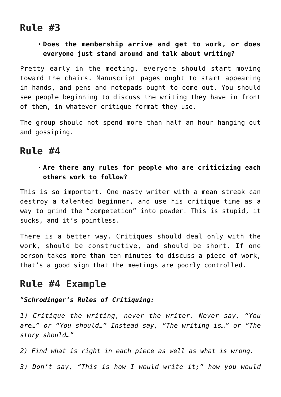## **Rule #3**

**Does the membership arrive and get to work, or does everyone just stand around and talk about writing?**

Pretty early in the meeting, everyone should start moving toward the chairs. Manuscript pages ought to start appearing in hands, and pens and notepads ought to come out. You should see people beginning to discuss the writing they have in front of them, in whatever critique format they use.

The group should not spend more than half an hour hanging out and gossiping.

## **Rule #4**

### **Are there any rules for people who are criticizing each others work to follow?**

This is so important. One nasty writer with a mean streak can destroy a talented beginner, and use his critique time as a way to grind the "competetion" into powder. This is stupid, it sucks, and it's pointless.

There is a better way. Critiques should deal only with the work, should be constructive, and should be short. If one person takes more than ten minutes to discuss a piece of work, that's a good sign that the meetings are poorly controlled.

## **Rule #4 Example**

#### "*Schrodinger's Rules of Critiquing:*

*1) Critique the writing, never the writer. Never say, "You are…" or "You should…" Instead say, "The writing is…" or "The story should…"*

*2) Find what is right in each piece as well as what is wrong.*

*3) Don't say, "This is how I would write it;" how you would*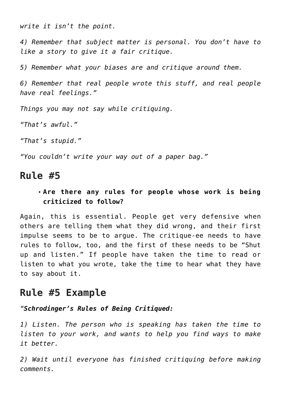*write it isn't the point.*

*4) Remember that subject matter is personal. You don't have to like a story to give it a fair critique.*

*5) Remember what your biases are and critique around them.*

*6) Remember that real people wrote this stuff, and real people have real feelings."*

*Things you may not say while critiquing.*

*"That's awful."*

*"That's stupid."*

*"You couldn't write your way out of a paper bag."*

## **Rule #5**

### **Are there any rules for people whose work is being criticized to follow?**

Again, this is essential. People get very defensive when others are telling them what they did wrong, and their first impulse seems to be to argue. The critique-ee needs to have rules to follow, too, and the first of these needs to be "Shut up and listen." If people have taken the time to read or listen to what you wrote, take the time to hear what they have to say about it.

## **Rule #5 Example**

#### *"Schrodinger's Rules of Being Critiqued:*

*1) Listen. The person who is speaking has taken the time to listen to your work, and wants to help you find ways to make it better.*

*2) Wait until everyone has finished critiquing before making comments.*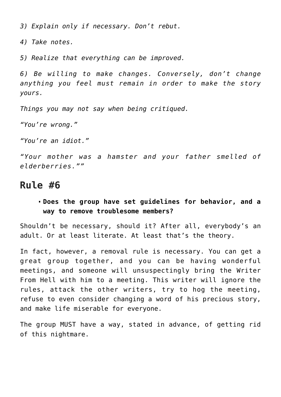*3) Explain only if necessary. Don't rebut.*

*4) Take notes.*

*5) Realize that everything can be improved.*

*6) Be willing to make changes. Conversely, don't change anything you feel must remain in order to make the story yours.*

*Things you may not say when being critiqued.*

*"You're wrong."*

*"You're an idiot."*

*"Your mother was a hamster and your father smelled of elderberries.""*

### **Rule #6**

**Does the group have set guidelines for behavior, and a way to remove troublesome members?**

Shouldn't be necessary, should it? After all, everybody's an adult. Or at least literate. At least that's the theory.

In fact, however, a removal rule is necessary. You can get a great group together, and you can be having wonderful meetings, and someone will unsuspectingly bring the Writer From Hell with him to a meeting. This writer will ignore the rules, attack the other writers, try to hog the meeting, refuse to even consider changing a word of his precious story, and make life miserable for everyone.

The group MUST have a way, stated in advance, of getting rid of this nightmare.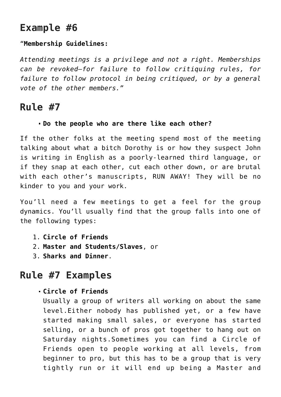## **Example #6**

#### "**Membership Guidelines:**

*Attending meetings is a privilege and not a right. Memberships can be revoked—for failure to follow critiquing rules, for failure to follow protocol in being critiqued, or by a general vote of the other members."*

## **Rule #7**

#### **Do the people who are there like each other?**

If the other folks at the meeting spend most of the meeting talking about what a bitch Dorothy is or how they suspect John is writing in English as a poorly-learned third language, or if they snap at each other, cut each other down, or are brutal with each other's manuscripts, RUN AWAY! They will be no kinder to you and your work.

You'll need a few meetings to get a feel for the group dynamics. You'll usually find that the group falls into one of the following types:

- 1. **Circle of Friends**
- 2. **Master and Students/Slaves**, or
- 3. **Sharks and Dinner**.

## **Rule #7 Examples**

#### **Circle of Friends**

Usually a group of writers all working on about the same level.Either nobody has published yet, or a few have started making small sales, or everyone has started selling, or a bunch of pros got together to hang out on Saturday nights.Sometimes you can find a Circle of Friends open to people working at all levels, from beginner to pro, but this has to be a group that is very tightly run or it will end up being a Master and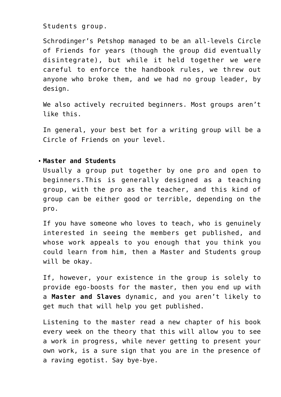Students group.

Schrodinger's Petshop managed to be an all-levels Circle of Friends for years (though the group did eventually disintegrate), but while it held together we were careful to enforce the handbook rules, we threw out anyone who broke them, and we had no group leader, by design.

We also actively recruited beginners. Most groups aren't like this.

In general, your best bet for a writing group will be a Circle of Friends on your level.

#### **Master and Students**

Usually a group put together by one pro and open to beginners.This is generally designed as a teaching group, with the pro as the teacher, and this kind of group can be either good or terrible, depending on the pro.

If you have someone who loves to teach, who is genuinely interested in seeing the members get published, and whose work appeals to you enough that you think you could learn from him, then a Master and Students group will be okay.

If, however, your existence in the group is solely to provide ego-boosts for the master, then you end up with a **Master and Slaves** dynamic, and you aren't likely to get much that will help you get published.

Listening to the master read a new chapter of his book every week on the theory that this will allow you to see a work in progress, while never getting to present your own work, is a sure sign that you are in the presence of a raving egotist. Say bye-bye.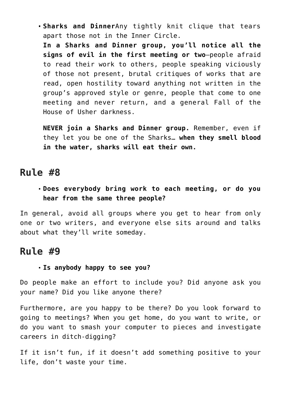**Sharks and Dinner**Any tightly knit clique that tears apart those not in the Inner Circle.

**In a Sharks and Dinner group, you'll notice all the signs of evil in the first meeting or two**—people afraid to read their work to others, people speaking viciously of those not present, brutal critiques of works that are read, open hostility toward anything not written in the group's approved style or genre, people that come to one meeting and never return, and a general Fall of the House of Usher darkness.

**NEVER join a Sharks and Dinner group.** Remember, even if they let you be one of the Sharks… **when they smell blood in the water, sharks will eat their own.**

## **Rule #8**

**Does everybody bring work to each meeting, or do you hear from the same three people?**

In general, avoid all groups where you get to hear from only one or two writers, and everyone else sits around and talks about what they'll write someday.

## **Rule #9**

#### **Is anybody happy to see you?**

Do people make an effort to include you? Did anyone ask you your name? Did you like anyone there?

Furthermore, are you happy to be there? Do you look forward to going to meetings? When you get home, do you want to write, or do you want to smash your computer to pieces and investigate careers in ditch-digging?

If it isn't fun, if it doesn't add something positive to your life, don't waste your time.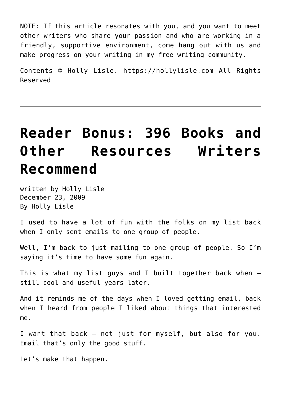NOTE: If this article resonates with you, and you want to meet other writers who share your passion and who are working in a friendly, supportive environment, [come hang out with us and](https://hollyswritingclasses.com/free/join.html) [make progress on your writing in my free writing community.](https://hollyswritingclasses.com/free/join.html)

Contents © Holly Lisle. <https://hollylisle.com> All Rights Reserved

# **[Reader Bonus: 396 Books and](https://hollylisle.com/reader-bonus-396-books-and-other-resources-writers-recommend/) [Other Resources Writers](https://hollylisle.com/reader-bonus-396-books-and-other-resources-writers-recommend/) [Recommend](https://hollylisle.com/reader-bonus-396-books-and-other-resources-writers-recommend/)**

written by Holly Lisle December 23, 2009 [By Holly Lisle](https://hollylisle.com)

I used to have a lot of fun with the folks on my list back when I only sent emails to one group of people.

Well, I'm back to just mailing to one group of people. So I'm saying it's time to have some fun again.

This is what my list guys and I built together back when still cool and useful years later.

And it reminds me of the days when I loved getting email, back when I heard from people I liked about things that interested me.

I want that back — not just for myself, but also for you. Email that's only the good stuff.

Let's make that happen.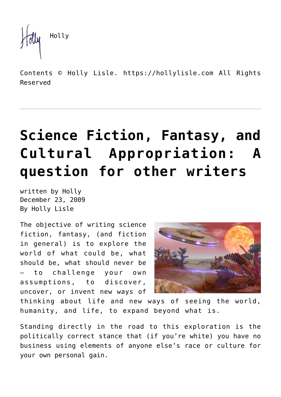Holly

Contents © Holly Lisle. <https://hollylisle.com> All Rights Reserved

# **[Science Fiction, Fantasy, and](https://hollylisle.com/science-fiction-fantasy-and-cultural-appropriation-a-question-for-other-writers/) Cultural Appropriation: [question for other writers](https://hollylisle.com/science-fiction-fantasy-and-cultural-appropriation-a-question-for-other-writers/)**

written by Holly December 23, 2009 [By Holly Lisle](https://hollylisle.com)

The objective of writing science fiction, fantasy, (and fiction in general) is to explore the world of what could be, what should be, what should never be to challenge your own assumptions, to discover, uncover, or invent new ways of



thinking about life and new ways of seeing the world, humanity, and life, to expand beyond what is.

Standing directly in the road to this exploration is the politically correct stance that (if you're white) you have no business using elements of anyone else's race or culture for your own personal gain.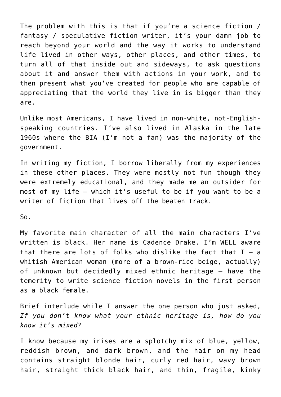The problem with this is that if you're a science fiction / fantasy / speculative fiction writer, it's your damn job to reach beyond your world and the way it works to understand life lived in other ways, other places, and other times, to turn all of that inside out and sideways, to ask questions about it and answer them with actions in your work, and to then present what you've created for people who are capable of appreciating that the world they live in is bigger than they are.

Unlike most Americans, I have lived in non-white, not-Englishspeaking countries. I've also lived in Alaska in the late 1960s where the BIA (I'm not a fan) was the majority of the government.

In writing my fiction, I borrow liberally from my experiences in these other places. They were mostly not fun though they were extremely educational, and they made me an outsider for most of my life — which it's useful to be if you want to be a writer of fiction that lives off the beaten track.

 $S<sub>0</sub>$ .

My favorite main character of all the main characters I've written is black. Her name is Cadence Drake. I'm WELL aware that there are lots of folks who dislike the fact that  $I - a$ whitish American woman (more of a brown-rice beige, actually) of unknown but decidedly mixed ethnic heritage — have the temerity to write science fiction novels in the first person as a black female.

Brief interlude while I answer the one person who just asked, *If you don't know what your ethnic heritage is, how do you know it's mixed?*

I know because my irises are a splotchy mix of blue, yellow, reddish brown, and dark brown, and the hair on my head contains straight blonde hair, curly red hair, wavy brown hair, straight thick black hair, and thin, fragile, kinky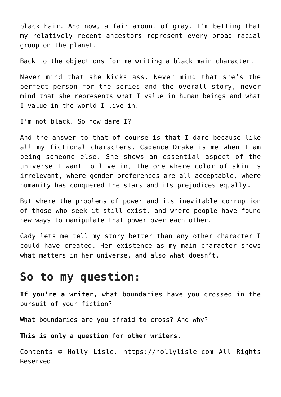black hair. And now, a fair amount of gray. I'm betting that my relatively recent ancestors represent every broad racial group on the planet.

Back to the objections for me writing a black main character.

Never mind that she kicks ass. Never mind that she's the perfect person for the series and the overall story, never mind that she represents what I value in human beings and what I value in the world I live in.

I'm not black. So how dare I?

And the answer to that of course is that I dare because like all my fictional characters, Cadence Drake is me when I am being someone else. She shows an essential aspect of the universe I want to live in, the one where color of skin is irrelevant, where gender preferences are all acceptable, where humanity has conquered the stars and its prejudices equally…

But where the problems of power and its inevitable corruption of those who seek it still exist, and where people have found new ways to manipulate that power over each other.

Cady lets me tell my story better than any other character I could have created. Her existence as my main character shows what matters in her universe, and also what doesn't.

## **So to my question:**

**If you're a writer,** what boundaries have you crossed in the pursuit of your fiction?

What boundaries are you afraid to cross? And why?

**This is only a question for other writers.**

Contents © Holly Lisle. <https://hollylisle.com> All Rights Reserved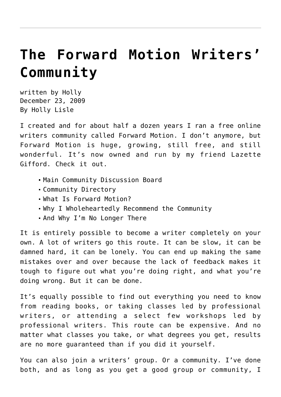## **[The Forward Motion Writers'](https://hollylisle.com/the-forward-motion-writers-community/) [Community](https://hollylisle.com/the-forward-motion-writers-community/)**

written by Holly December 23, 2009 [By Holly Lisle](https://hollylisle.com)

I created and for about half a dozen years I ran a free online writers community called Forward Motion. I don't anymore, but Forward Motion is huge, growing, still free, and still wonderful. It's now owned and run by my friend Lazette Gifford. Check it out.

- [Main Community Discussion Board](http://www.fmwriters.com/community/dc/dcboard.php?az=show_topics&forum=17)
- [Community Directory](http://www.fmwriters.com/lobby.html)
- [What Is Forward Motion?](http://fmwriters.com/)
- [Why I Wholeheartedly Recommend the Community](https://hollylisle.com/index.php?option=com_content&view=article&id=176:the-forward-motion-writers-community#recommend)
- [And Why I'm No Longer There](https://hollylisle.com/index.php?option=com_content&view=article&id=21&Itemid=35)

It is entirely possible to become a writer completely on your own. A lot of writers go this route. It can be slow, it can be damned hard, it can be lonely. You can end up making the same mistakes over and over because the lack of feedback makes it tough to figure out what you're doing right, and what you're doing wrong. But it can be done.

It's equally possible to find out everything you need to know from reading books, or taking classes led by professional writers, or attending a select few workshops led by professional writers. This route can be expensive. And no matter what classes you take, or what degrees you get, results are no more guaranteed than if you did it yourself.

You can also join a writers' group. Or a community. I've done both, and [as long as you get a good group or community](https://hollylisle.com/index.php?option=com_content&view=article&id=61&Itemid=75), I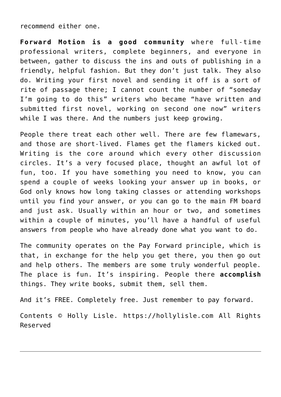recommend either one.

**Forward Motion is a good community** where full-time professional writers, complete beginners, and everyone in between, gather to discuss the ins and outs of publishing in a friendly, helpful fashion. But they don't just talk. They also do. Writing your first novel and sending it off is a sort of rite of passage there; I cannot count the number of "someday I'm going to do this" writers who became "have written and submitted first novel, working on second one now" writers while I was there. And the numbers just keep growing.

People there treat each other well. There are few flamewars, and those are short-lived. Flames get the flamers kicked out. Writing is the core around which every other discussion circles. It's a very focused place, thought an awful lot of fun, too. If you have something you need to know, you can spend a couple of weeks looking your answer up in books, or God only knows how long taking classes or attending workshops until you find your answer, or you can go to the main FM board and just ask. Usually within an hour or two, and sometimes within a couple of minutes, you'll have a handful of useful answers from people who have already done what you want to do.

The community operates on the Pay Forward principle, which is that, in exchange for the help you get there, you then go out and help others. The members are some truly wonderful people. The place is fun. It's inspiring. People there **accomplish** things. They write books, submit them, sell them.

And it's FREE. Completely free. Just remember to pay forward.

Contents © Holly Lisle. <https://hollylisle.com> All Rights Reserved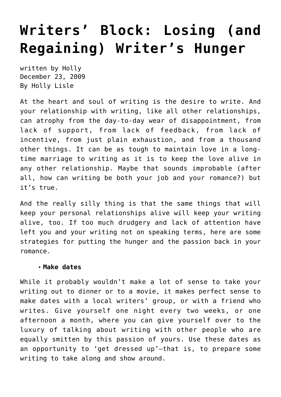# **[Writers' Block: Losing \(and](https://hollylisle.com/writers-block-losing-and-regaining-writers-hunger/) [Regaining\) Writer's Hunger](https://hollylisle.com/writers-block-losing-and-regaining-writers-hunger/)**

written by Holly December 23, 2009 [By Holly Lisle](https://hollylisle.com)

At the heart and soul of writing is the desire to write. And your relationship with writing, like all other relationships, can atrophy from the day-to-day wear of disappointment, from lack of support, from lack of feedback, from lack of incentive, from just plain exhaustion, and from a thousand other things. It can be as tough to maintain love in a longtime marriage to writing as it is to keep the love alive in any other relationship. Maybe that sounds improbable (after all, how can writing be both your job and your romance?) but it's true.

And the really silly thing is that the same things that will keep your personal relationships alive will keep your writing alive, too. If too much drudgery and lack of attention have left you and your writing not on speaking terms, here are some strategies for putting the hunger and the passion back in your romance.

#### **Make dates**

While it probably wouldn't make a lot of sense to take your writing out to dinner or to a movie, it makes perfect sense to make dates with a local writers' group, or with a friend who writes. Give yourself one night every two weeks, or one afternoon a month, where you can give yourself over to the luxury of talking about writing with other people who are equally smitten by this passion of yours. Use these dates as an opportunity to 'get dressed up'—that is, to prepare some writing to take along and show around.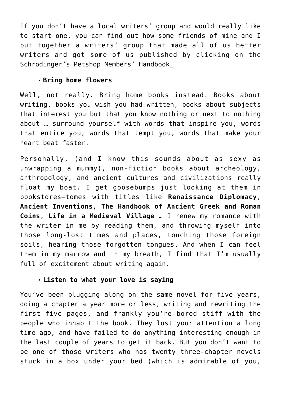If you don't have a local writers' group and would really like to start one, you can find out how some friends of mine and I put together a writers' group that made all of us better writers and got some of us published by clicking on the [Schrodinger's Petshop Members' Handbook\\_](https://hollylisle.com/sp-member-handbook/)

#### **Bring home flowers**

Well, not really. Bring home books instead. Books about writing, books you wish you had written, books about subjects that interest you but that you know nothing or next to nothing about … surround yourself with words that inspire you, words that entice you, words that tempt you, words that make your heart beat faster.

Personally, (and I know this sounds about as sexy as unwrapping a mummy), non-fiction books about archeology, anthropology, and ancient cultures and civilizations really float my boat. I get goosebumps just looking at them in bookstores—tomes with titles like **Renaissance Diplomacy**, **Ancient Inventions**, **The Handbook of Ancient Greek and Roman Coins**, **Life in a Medieval Village** … I renew my romance with the writer in me by reading them, and throwing myself into those long-lost times and places, touching those foreign soils, hearing those forgotten tongues. And when I can feel them in my marrow and in my breath, I find that I'm usually full of excitement about writing again.

#### **Listen to what your love is saying**

You've been plugging along on the same novel for five years, doing a chapter a year more or less, writing and rewriting the first five pages, and frankly you're bored stiff with the people who inhabit the book. They lost your attention a long time ago, and have failed to do anything interesting enough in the last couple of years to get it back. But you don't want to be one of those writers who has twenty three-chapter novels stuck in a box under your bed (which is admirable of you,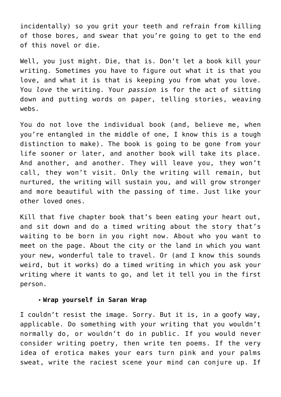incidentally) so you grit your teeth and refrain from killing of those bores, and swear that you're going to get to the end of this novel or die.

Well, you just might. Die, that is. Don't let a book kill your writing. Sometimes you have to figure out what it is that you love, and what it is that is keeping you from what you love. You *love* the writing. Your *passion* is for the act of sitting down and putting words on paper, telling stories, weaving webs.

You do not love the individual book (and, believe me, when you're entangled in the middle of one, I know this is a tough distinction to make). The book is going to be gone from your life sooner or later, and another book will take its place. And another, and another. They will leave you, they won't call, they won't visit. Only the writing will remain, but nurtured, the writing will sustain you, and will grow stronger and more beautiful with the passing of time. Just like your other loved ones.

Kill that five chapter book that's been eating your heart out, and sit down and do a [timed writing](https://hollylisle.com/exercises-in-timed-writing-freeing-up-the-subconscious-in-writing/) about the story that's waiting to be born in you right now. About who you want to meet on the page. About the city or the land in which you want your new, wonderful tale to travel. Or (and I know this sounds weird, but it works) do a timed writing in which you ask your writing where it wants to go, and let it tell you in the first person.

#### **Wrap yourself in Saran Wrap**

I couldn't resist the image. Sorry. But it is, in a goofy way, applicable. Do something with your writing that you wouldn't normally do, or wouldn't do in public. If you would never consider writing poetry, then write ten poems. If the very idea of erotica makes your ears turn pink and your palms sweat, write the raciest scene your mind can conjure up. If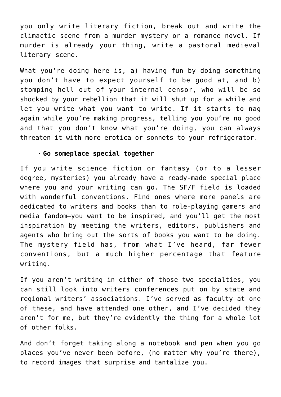you only write literary fiction, break out and write the climactic scene from a murder mystery or a romance novel. If murder is already your thing, write a pastoral medieval literary scene.

What you're doing here is, a) having fun by doing something you don't have to expect yourself to be good at, and b) stomping hell out of your internal censor, who will be so shocked by your rebellion that it will shut up for a while and let you write what you want to write. If it starts to nag again while you're making progress, telling you you're no good and that you don't know what you're doing, you can always threaten it with more erotica or sonnets to your refrigerator.

#### **Go someplace special together**

If you write science fiction or fantasy (or to a lesser degree, mysteries) you already have a ready-made special place where you and your writing can go. The SF/F field is loaded with wonderful conventions. Find ones where more panels are dedicated to writers and books than to role-playing gamers and media fandom—you want to be inspired, and you'll get the most inspiration by meeting the writers, editors, publishers and agents who bring out the sorts of books you want to be doing. The mystery field has, from what I've heard, far fewer conventions, but a much higher percentage that feature writing.

If you aren't writing in either of those two specialties, you can still look into writers conferences put on by state and regional writers' associations. I've served as faculty at one of these, and have attended one other, and I've decided they aren't for me, but they're evidently the thing for a whole lot of other folks.

And don't forget taking along a notebook and pen when you go places you've never been before, (no matter why you're there), to record images that surprise and tantalize you.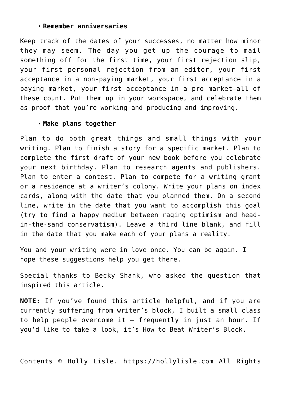#### **Remember anniversaries**

Keep track of the dates of your successes, no matter how minor they may seem. The day you get up the courage to mail something off for the first time, your first rejection slip, your first personal rejection from an editor, your first acceptance in a non-paying market, your first acceptance in a paying market, your first acceptance in a pro market—all of these count. Put them up in your workspace, and celebrate them as proof that you're working and producing and improving.

#### **Make plans together**

Plan to do both great things and small things with your writing. Plan to finish a story for a specific market. Plan to complete the first draft of your new book before you celebrate your next birthday. Plan to research agents and publishers. Plan to enter a contest. Plan to compete for a writing grant or a residence at a writer's colony. Write your plans on index cards, along with the date that you planned them. On a second line, write in the date that you want to accomplish this goal (try to find a happy medium between raging optimism and headin-the-sand conservatism). Leave a third line blank, and fill in the date that you make each of your plans a reality.

You and your writing were in love once. You can be again. I hope these suggestions help you get there.

Special thanks to Becky Shank, who asked the question that inspired this article.

**NOTE:** If you've found this article helpful, and if you are currently suffering from writer's block, I built a small class to help people overcome it — frequently in just an hour. If you'd like to take a look, it's [How to Beat Writer's Block.](https://hollyswritingclasses.com/go/beatwritersblock.html)

Contents © Holly Lisle. <https://hollylisle.com> All Rights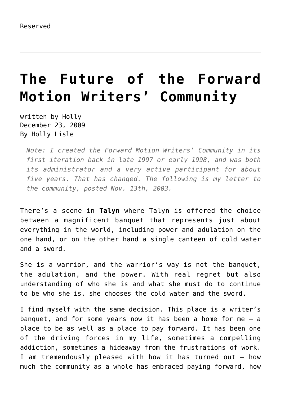## **[The Future of the Forward](https://hollylisle.com/the-future-of-the-forward-motion-writers-community/) [Motion Writers' Community](https://hollylisle.com/the-future-of-the-forward-motion-writers-community/)**

written by Holly December 23, 2009 [By Holly Lisle](https://hollylisle.com)

*Note: I created the Forward Motion Writers' Community in its first iteration back in late 1997 or early 1998, and was both its administrator and a very active participant for about five years. That has changed. The following is my letter to the community, posted Nov. 13th, 2003.*

There's a scene in **Talyn** where Talyn is offered the choice between a magnificent banquet that represents just about everything in the world, including power and adulation on the one hand, or on the other hand a single canteen of cold water and a sword.

She is a warrior, and the warrior's way is not the banquet, the adulation, and the power. With real regret but also understanding of who she is and what she must do to continue to be who she is, she chooses the cold water and the sword.

I find myself with the same decision. This place is a writer's banquet, and for some years now it has been a home for me  $-$  a place to be as well as a place to pay forward. It has been one of the driving forces in my life, sometimes a compelling addiction, sometimes a hideaway from the frustrations of work. I am tremendously pleased with how it has turned out — how much the community as a whole has embraced paying forward, how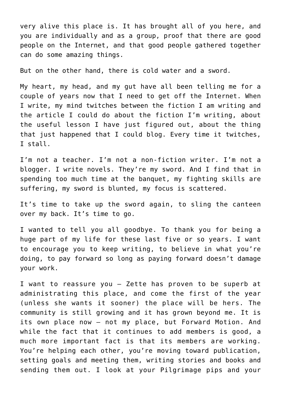very alive this place is. It has brought all of you here, and you are individually and as a group, proof that there are good people on the Internet, and that good people gathered together can do some amazing things.

But on the other hand, there is cold water and a sword.

My heart, my head, and my gut have all been telling me for a couple of years now that I need to get off the Internet. When I write, my mind twitches between the fiction I am writing and the article I could do about the fiction I'm writing, about the useful lesson I have just figured out, about the thing that just happened that I could blog. Every time it twitches, I stall.

I'm not a teacher. I'm not a non-fiction writer. I'm not a blogger. I write novels. They're my sword. And I find that in spending too much time at the banquet, my fighting skills are suffering, my sword is blunted, my focus is scattered.

It's time to take up the sword again, to sling the canteen over my back. It's time to go.

I wanted to tell you all goodbye. To thank you for being a huge part of my life for these last five or so years. I want to encourage you to keep writing, to believe in what you're doing, to pay forward so long as paying forward doesn't damage your work.

I want to reassure you — Zette has proven to be superb at administrating this place, and come the first of the year (unless she wants it sooner) the place will be hers. The community is still growing and it has grown beyond me. It is its own place now — not my place, but Forward Motion. And while the fact that it continues to add members is good, a much more important fact is that its members are working. You're helping each other, you're moving toward publication, setting goals and meeting them, writing stories and books and sending them out. I look at your Pilgrimage pips and your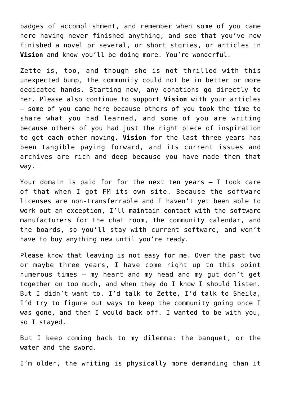badges of accomplishment, and remember when some of you came here having never finished anything, and see that you've now finished a novel or several, or short stories, or articles in **[Vision](http://www.lazette.net/Vision/)** and know you'll be doing more. You're wonderful.

Zette is, too, and though she is not thrilled with this unexpected bump, the community could not be in better or more dedicated hands. Starting now, any donations go directly to her. Please also continue to support **Vision** with your articles — some of you came here because others of you took the time to share what you had learned, and some of you are writing because others of you had just the right piece of inspiration to get each other moving. **Vision** for the last three years has been tangible paying forward, and its current issues and archives are rich and deep because you have made them that way.

Your domain is paid for for the next ten years  $-$  I took care of that when I got FM its own site. Because the software licenses are non-transferrable and I haven't yet been able to work out an exception, I'll maintain contact with the software manufacturers for the chat room, the community calendar, and the boards, so you'll stay with current software, and won't have to buy anything new until you're ready.

Please know that leaving is not easy for me. Over the past two or maybe three years, I have come right up to this point numerous times — my heart and my head and my gut don't get together on too much, and when they do I know I should listen. But I didn't want to. I'd talk to Zette, I'd talk to Sheila, I'd try to figure out ways to keep the community going once I was gone, and then I would back off. I wanted to be with you, so I stayed.

But I keep coming back to my dilemma: the banquet, or the water and the sword.

I'm older, the writing is physically more demanding than it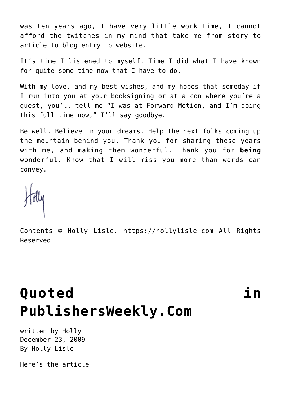was ten years ago, I have very little work time, I cannot afford the twitches in my mind that take me from story to article to blog entry to website.

It's time I listened to myself. Time I did what I have known for quite some time now that I have to do.

With my love, and my best wishes, and my hopes that someday if I run into you at your booksigning or at a con where you're a guest, you'll tell me "I was at Forward Motion, and I'm doing this full time now," I'll say goodbye.

Be well. Believe in your dreams. Help the next folks coming up the mountain behind you. Thank you for sharing these years with me, and making them wonderful. Thank you for **being** wonderful. Know that I will miss you more than words can convey.

Contents © Holly Lisle. <https://hollylisle.com> All Rights Reserved

**[Quoted in](https://hollylisle.com/quoted-in-publishersweeklycom/) [PublishersWeekly.Com](https://hollylisle.com/quoted-in-publishersweeklycom/)**

written by Holly December 23, 2009 [By Holly Lisle](https://hollylisle.com)

[Here's the article.](http://www.publishersweekly.com/article/CA6328436.html)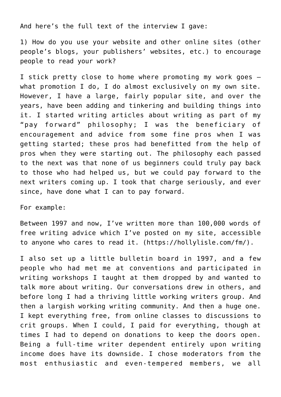And here's the full text of the interview I gave:

1) How do you use your website and other online sites (other people's blogs, your publishers' websites, etc.) to encourage people to read your work?

I stick pretty close to home where promoting my work goes what promotion I do, I do almost exclusively on my own site. However, I have a large, fairly popular site, and over the years, have been adding and tinkering and building things into it. I started writing articles about writing as part of my "pay forward" philosophy; I was the beneficiary of encouragement and advice from some fine pros when I was getting started; these pros had benefitted from the help of pros when they were starting out. The philosophy each passed to the next was that none of us beginners could truly pay back to those who had helped us, but we could pay forward to the next writers coming up. I took that charge seriously, and ever since, have done what I can to pay forward.

For example:

Between 1997 and now, I've written more than 100,000 words of free writing advice which I've posted on my site, accessible to anyone who cares to read it. (<https://hollylisle.com/fm/>).

I also set up a little bulletin board in 1997, and a few people who had met me at conventions and participated in writing workshops I taught at them dropped by and wanted to talk more about writing. Our conversations drew in others, and before long I had a thriving little working writers group. And then a largish working writing community. And then a huge one. I kept everything free, from online classes to discussions to crit groups. When I could, I paid for everything, though at times I had to depend on donations to keep the doors open. Being a full-time writer dependent entirely upon writing income does have its downside. I chose moderators from the most enthusiastic and even-tempered members, we all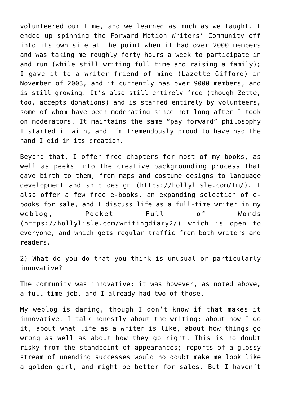volunteered our time, and we learned as much as we taught. I ended up spinning the Forward Motion Writers' Community off into its own site at the point when it had over 2000 members and was taking me roughly forty hours a week to participate in and run (while still writing full time and raising a family); I gave it to a writer friend of mine (Lazette Gifford) in November of 2003, and it currently has over 9000 members, and is still growing. It's also still entirely free (though Zette, too, accepts donations) and is staffed entirely by volunteers, some of whom have been moderating since not long after I took on moderators. It maintains the same "pay forward" philosophy I started it with, and I'm tremendously proud to have had the hand I did in its creation.

Beyond that, I offer free chapters for most of my books, as well as peeks into the creative backgrounding process that gave birth to them, from maps and costume designs to language development and ship design (<https://hollylisle.com/tm/>). I also offer a few free e-books, an expanding selection of ebooks for sale, and I discuss life as a full-time writer in my weblog, Pocket Full of Words ([https://hollylisle.com/writingdiary2/\)](https://hollylisle.com/writingdiary2/) which is open to everyone, and which gets regular traffic from both writers and readers.

2) What do you do that you think is unusual or particularly innovative?

The community was innovative; it was however, as noted above, a full-time job, and I already had two of those.

My weblog is daring, though I don't know if that makes it innovative. I talk honestly about the writing; about how I do it, about what life as a writer is like, about how things go wrong as well as about how they go right. This is no doubt risky from the standpoint of appearances; reports of a glossy stream of unending successes would no doubt make me look like a golden girl, and might be better for sales. But I haven't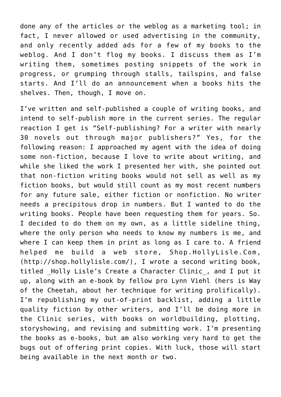done any of the articles or the weblog as a marketing tool; in fact, I never allowed or used advertising in the community, and only recently added ads for a few of my books to the weblog. And I don't flog my books. I discuss them as I'm writing them, sometimes posting snippets of the work in progress, or grumping through stalls, tailspins, and false starts. And I'll do an announcement when a books hits the shelves. Then, though, I move on.

I've written and self-published a couple of writing books, and intend to self-publish more in the current series. The regular reaction I get is "Self-publishing? For a writer with nearly 30 novels out through major publishers?" Yes, for the following reason: I approached my agent with the idea of doing some non-fiction, because I love to write about writing, and while she liked the work I presented her with, she pointed out that non-fiction writing books would not sell as well as my fiction books, but would still count as my most recent numbers for any future sale, either fiction or nonfiction. No writer needs a precipitous drop in numbers. But I wanted to do the writing books. People have been requesting them for years. So. I decided to do them on my own, as a little sideline thing, where the only person who needs to know my numbers is me, and where I can keep them in print as long as I care to. A friend helped me build a web store, Shop.HollyLisle.Com, ([http://shop.hollylisle.com/\)](http://shop.hollylisle.com/), I wrote a second writing book, titled \_Holly Lisle's Create a Character Clinic\_, and I put it up, along with an e-book by fellow pro Lynn Viehl (hers is Way of the Cheetah, about her technique for writing prolifically). I'm republishing my out-of-print backlist, adding a little quality fiction by other writers, and I'll be doing more in the Clinic series, with books on worldbuilding, plotting, storyshowing, and revising and submitting work. I'm presenting the books as e-books, but am also working very hard to get the bugs out of offering print copies. With luck, those will start being available in the next month or two.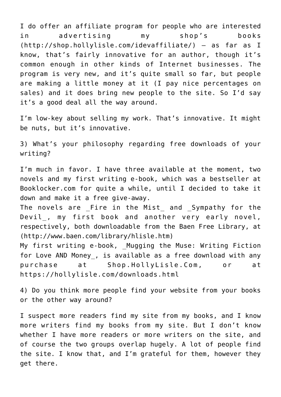I do offer an affiliate program for people who are interested in advertising my shop's books (<http://shop.hollylisle.com/idevaffiliate/>) — as far as I know, that's fairly innovative for an author, though it's common enough in other kinds of Internet businesses. The program is very new, and it's quite small so far, but people are making a little money at it (I pay nice percentages on sales) and it does bring new people to the site. So I'd say it's a good deal all the way around.

I'm low-key about selling my work. That's innovative. It might be nuts, but it's innovative.

3) What's your philosophy regarding free downloads of your writing?

I'm much in favor. I have three available at the moment, two novels and my first writing e-book, which was a bestseller at Booklocker.com for quite a while, until I decided to take it down and make it a free give-away.

The novels are Fire in the Mist and Sympathy for the Devil, my first book and another very early novel, respectively, both downloadable from the Baen Free Library, at (<http://www.baen.com/library/hlisle.htm>)

My first writing e-book, Mugging the Muse: Writing Fiction for Love AND Money, is available as a free download with any purchase at Shop.HollyLisle.Com, or at <https://hollylisle.com/downloads.html>

4) Do you think more people find your website from your books or the other way around?

I suspect more readers find my site from my books, and I know more writers find my books from my site. But I don't know whether I have more readers or more writers on the site, and of course the two groups overlap hugely. A lot of people find the site. I know that, and I'm grateful for them, however they get there.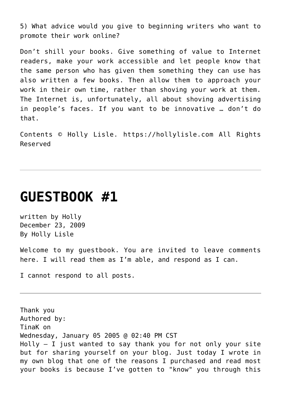5) What advice would you give to beginning writers who want to promote their work online?

Don't shill your books. Give something of value to Internet readers, make your work accessible and let people know that the same person who has given them something they can use has also written a few books. Then allow them to approach your work in their own time, rather than shoving your work at them. The Internet is, unfortunately, all about shoving advertising in people's faces. If you want to be innovative … don't do that.

Contents © Holly Lisle. <https://hollylisle.com> All Rights Reserved

## **[GUESTBOOK #1](https://hollylisle.com/guestbook-1/)**

written by Holly December 23, 2009 [By Holly Lisle](https://hollylisle.com)

Welcome to my guestbook. You are invited to leave comments here. I will read them as I'm able, and respond as I can.

I cannot respond to all posts.

Thank you Authored by: [TinaK](https://hollylisle.com/writingdiary/users.php?mode=profile&uid=82) on Wednesday, January 05 2005 @ 02:40 PM CST Holly  $-$  I just wanted to say thank you for not only your site but for sharing yourself on your blog. Just today I wrote in my own blog that one of the reasons I purchased and read most your books is because I've gotten to "know" you through this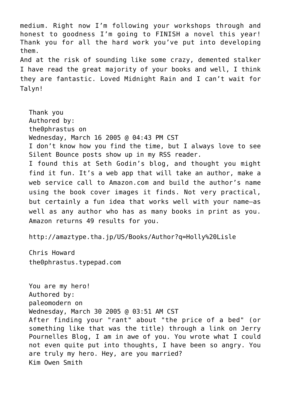medium. Right now I'm following your workshops through and honest to goodness I'm going to FINISH a novel this year! Thank you for all the hard work you've put into developing them. And at the risk of sounding like some crazy, demented stalker I have read the great majority of your books and well, I think they are fantastic. Loved Midnight Rain and I can't wait for Talyn!

Thank you Authored by: [the0phrastus](https://hollylisle.com/writingdiary/users.php?mode=profile&uid=192) on Wednesday, March 16 2005 @ 04:43 PM CST I don't know how you find the time, but I always love to see Silent Bounce posts show up in my RSS reader. I found this at Seth Godin's blog, and thought you might find it fun. It's a web app that will take an author, make a web service call to Amazon.com and build the author's name using the book cover images it finds. Not very practical, but certainly a fun idea that works well with your name–as well as any author who has as many books in print as you. Amazon returns 49 results for you.

<http://amaztype.tha.jp/US/Books/Author?q=Holly%20Lisle>

Chris Howard the0phrastus.typepad.com

You are my hero! Authored by: [paleomodern](https://hollylisle.com/writingdiary/users.php?mode=profile&uid=379) on Wednesday, March 30 2005 @ 03:51 AM CST After finding your "rant" about "the price of a bed" (or something like that was the title) through a link on Jerry Pournelles Blog, I am in awe of you. You wrote what I could not even quite put into thoughts, I have been so angry. You are truly my hero. Hey, are you married? Kim Owen Smith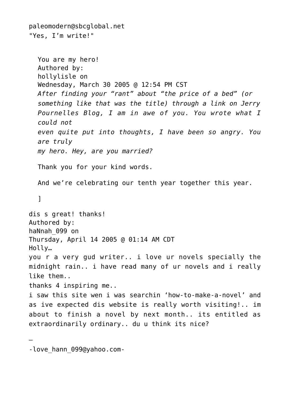```
paleomodern@sbcglobal.net
"Yes, I'm write!"
```

```
You are my hero!
  Authored by:
  hollylisle on
  Wednesday, March 30 2005 @ 12:54 PM CST
  After finding your "rant" about "the price of a bed" (or
  something like that was the title) through a link on Jerry
  Pournelles Blog, I am in awe of you. You wrote what I
  could not
  even quite put into thoughts, I have been so angry. You
  are truly
  my hero. Hey, are you married?
  Thank you for your kind words.
  And we're celebrating our tenth year together this year.
  ]
dis s great! thanks!
Authored by:
haNnah_099 on
Thursday, April 14 2005 @ 01:14 AM CDT
Holly…
you r a very gud writer.. i love ur novels specially the
midnight rain.. i have read many of ur novels and i really
like them..
thanks 4 inspiring me..
i saw this site wen i was searchin 'how-to-make-a-novel' and
as ive expected dis website is really worth visiting!.. im
about to finish a novel by next month.. its entitled as
extraordinarily ordinary.. du u think its nice?
```
—

<sup>-</sup>love hann 099@yahoo.com-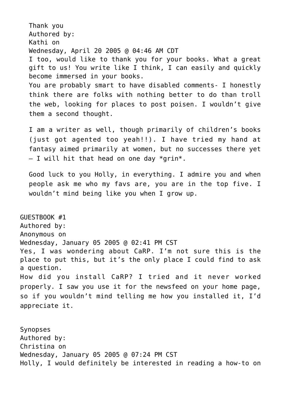Thank you Authored by: [Kathi](https://hollylisle.com/writingdiary/users.php?mode=profile&uid=416) on Wednesday, April 20 2005 @ 04:46 AM CDT I too, would like to thank you for your books. What a great gift to us! You write like I think, I can easily and quickly become immersed in your books. You are probably smart to have disabled comments- I honestly think there are folks with nothing better to do than troll the web, looking for places to post poisen. I wouldn't give them a second thought. I am a writer as well, though primarily of children's books (just got agented too yeah!!). I have tried my hand at fantasy aimed primarily at women, but no successes there yet  $-$  I will hit that head on one day  $*grin*$ . Good luck to you Holly, in everything. I admire you and when people ask me who my favs are, you are in the top five. I wouldn't mind being like you when I grow up. GUESTBOOK #1 Authored by: Anonymous on Wednesday, January 05 2005 @ 02:41 PM CST Yes, I was wondering about CaRP. I'm not sure this is the place to put this, but it's the only place I could find to ask a question. How did you install CaRP? I tried and it never worked properly. I saw you use it for the newsfeed on your home page, so if you wouldn't mind telling me how you installed it, I'd appreciate it. Synopses Authored by: [Christina](https://hollylisle.com/writingdiary/users.php?mode=profile&uid=143) on

Wednesday, January 05 2005 @ 07:24 PM CST Holly, I would definitely be interested in reading a how-to on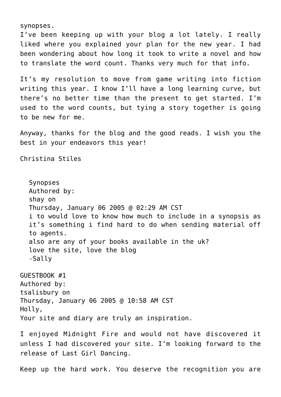synopses.

I've been keeping up with your blog a lot lately. I really liked where you explained your plan for the new year. I had been wondering about how long it took to write a novel and how to translate the word count. Thanks very much for that info.

It's my resolution to move from game writing into fiction writing this year. I know I'll have a long learning curve, but there's no better time than the present to get started. I'm used to the word counts, but tying a story together is going to be new for me.

Anyway, thanks for the blog and the good reads. I wish you the best in your endeavors this year!

Christina Stiles

Synopses Authored by: [shay](https://hollylisle.com/writingdiary/users.php?mode=profile&uid=28) on Thursday, January 06 2005 @ 02:29 AM CST i to would love to know how much to include in a synopsis as it's something i find hard to do when sending material off to agents. also are any of your books available in the uk? love the site, love the blog -Sally

GUESTBOOK #1 Authored by: [tsalisbury](https://hollylisle.com/writingdiary/users.php?mode=profile&uid=167) on Thursday, January 06 2005 @ 10:58 AM CST Holly, Your site and diary are truly an inspiration.

I enjoyed Midnight Fire and would not have discovered it unless I had discovered your site. I'm looking forward to the release of Last Girl Dancing.

Keep up the hard work. You deserve the recognition you are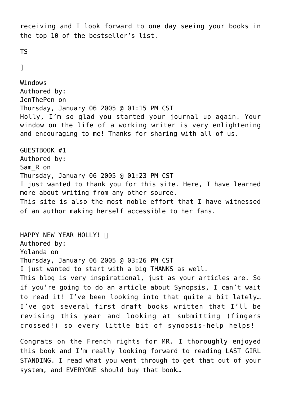receiving and I look forward to one day seeing your books in the top 10 of the bestseller's list.

TS

]

Windows Authored by: [JenThePen](https://hollylisle.com/writingdiary/users.php?mode=profile&uid=116) on Thursday, January 06 2005 @ 01:15 PM CST Holly, I'm so glad you started your journal up again. Your window on the life of a working writer is very enlightening and encouraging to me! Thanks for sharing with all of us. GUESTBOOK #1 Authored by: [Sam\\_R](https://hollylisle.com/writingdiary/users.php?mode=profile&uid=156) on Thursday, January 06 2005 @ 01:23 PM CST I just wanted to thank you for this site. Here, I have learned more about writing from any other source. This site is also the most noble effort that I have witnessed of an author making herself accessible to her fans. HAPPY NEW YEAR HOLLY!  $\Box$ Authored by: [Yolanda](https://hollylisle.com/writingdiary/users.php?mode=profile&uid=46) on Thursday, January 06 2005 @ 03:26 PM CST I just wanted to start with a big THANKS as well. This blog is very inspirational, just as your articles are. So if you're going to do an article about Synopsis, I can't wait to read it! I've been looking into that quite a bit lately… I've got several first draft books written that I'll be revising this year and looking at submitting (fingers crossed!) so every little bit of synopsis-help helps!

Congrats on the French rights for MR. I thoroughly enjoyed this book and I'm really looking forward to reading LAST GIRL STANDING. I read what you went through to get that out of your system, and EVERYONE should buy that book…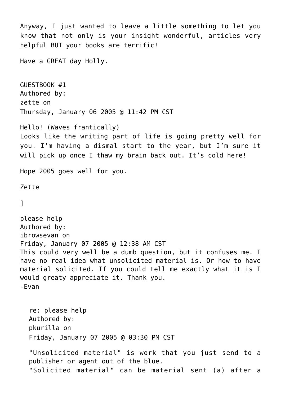Anyway, I just wanted to leave a little something to let you know that not only is your insight wonderful, articles very helpful BUT your books are terrific! Have a GREAT day Holly. GUESTBOOK #1 Authored by: [zette](https://hollylisle.com/writingdiary/users.php?mode=profile&uid=207) on Thursday, January 06 2005 @ 11:42 PM CST Hello! (Waves frantically) Looks like the writing part of life is going pretty well for you. I'm having a dismal start to the year, but I'm sure it will pick up once I thaw my brain back out. It's cold here! Hope 2005 goes well for you. Zette ] please help Authored by: [ibrowsevan](https://hollylisle.com/writingdiary/users.php?mode=profile&uid=208) on Friday, January 07 2005 @ 12:38 AM CST This could very well be a dumb question, but it confuses me. I have no real idea what unsolicited material is. Or how to have material solicited. If you could tell me exactly what it is I would greaty appreciate it. Thank you. -Evan re: please help Authored by: [pkurilla](https://hollylisle.com/writingdiary/users.php?mode=profile&uid=5) on Friday, January 07 2005 @ 03:30 PM CST "Unsolicited material" is work that you just send to a publisher or agent out of the blue. "Solicited material" can be material sent (a) after a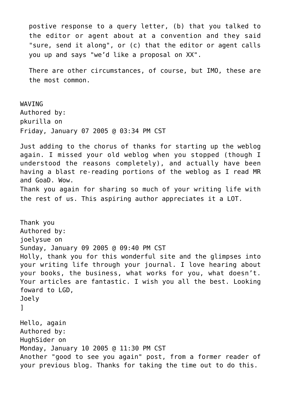postive response to a query letter, (b) that you talked to the editor or agent about at a convention and they said "sure, send it along", or (c) that the editor or agent calls you up and says "we'd like a proposal on XX".

There are other circumstances, of course, but IMO, these are the most common.

WAVING Authored by: [pkurilla](https://hollylisle.com/writingdiary/users.php?mode=profile&uid=5) on Friday, January 07 2005 @ 03:34 PM CST

Just adding to the chorus of thanks for starting up the weblog again. I missed your old weblog when you stopped (though I understood the reasons completely), and actually have been having a blast re-reading portions of the weblog as I read MR and GoaD. Wow. Thank you again for sharing so much of your writing life with

the rest of us. This aspiring author appreciates it a LOT.

```
Thank you
Authored by:
joelysue on
Sunday, January 09 2005 @ 09:40 PM CST
Holly, thank you for this wonderful site and the glimpses into
your writing life through your journal. I love hearing about
your books, the business, what works for you, what doesn't.
Your articles are fantastic. I wish you all the best. Looking
foward to LGD,
Joely
]
Hello, again
Authored by:
HughSider on
Monday, January 10 2005 @ 11:30 PM CST
Another "good to see you again" post, from a former reader of
your previous blog. Thanks for taking the time out to do this.
```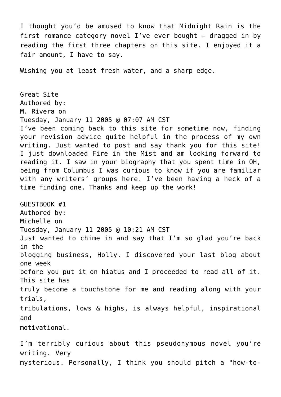I thought you'd be amused to know that Midnight Rain is the first romance category novel I've ever bought – dragged in by reading the first three chapters on this site. I enjoyed it a fair amount, I have to say. Wishing you at least fresh water, and a sharp edge. Great Site Authored by: [M. Rivera](https://hollylisle.com/writingdiary/users.php?mode=profile&uid=214) on Tuesday, January 11 2005 @ 07:07 AM CST I've been coming back to this site for sometime now, finding your revision advice quite helpful in the process of my own writing. Just wanted to post and say thank you for this site! I just downloaded Fire in the Mist and am looking forward to reading it. I saw in your biography that you spent time in OH, being from Columbus I was curious to know if you are familiar with any writers' groups here. I've been having a heck of a time finding one. Thanks and keep up the work! GUESTBOOK #1 Authored by: [Michelle](https://hollylisle.com/writingdiary/users.php?mode=profile&uid=20) on Tuesday, January 11 2005 @ 10:21 AM CST Just wanted to chime in and say that I'm so glad you're back in the blogging business, Holly. I discovered your last blog about one week before you put it on hiatus and I proceeded to read all of it. This site has truly become a touchstone for me and reading along with your trials, tribulations, lows & highs, is always helpful, inspirational and motivational.

I'm terribly curious about this pseudonymous novel you're writing. Very mysterious. Personally, I think you should pitch a "how-to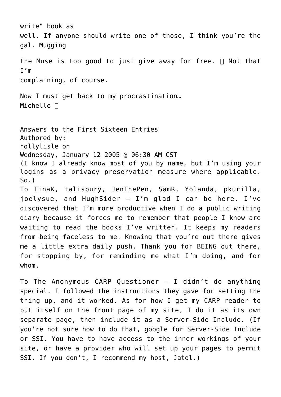write" book as well. If anyone should write one of those, I think you're the gal. Mugging the Muse is too good to just give away for free.  $\Box$  Not that I'm complaining, of course. Now I must get back to my procrastination… Michelle  $\Box$ Answers to the First Sixteen Entries Authored by: [hollylisle](https://hollylisle.com/writingdiary/users.php?mode=profile&uid=2) on Wednesday, January 12 2005 @ 06:30 AM CST (I know I already know most of you by name, but I'm using your logins as a privacy preservation measure where applicable.  $So.$ ) To TinaK, talisbury, JenThePen, SamR, Yolanda, pkurilla, joelysue, and HughSider — I'm glad I can be here. I've discovered that I'm more productive when I do a public writing diary because it forces me to remember that people I know are waiting to read the books I've written. It keeps my readers from being faceless to me. Knowing that you're out there gives me a little extra daily push. Thank you for BEING out there, for stopping by, for reminding me what I'm doing, and for whom.

To The Anonymous CARP Questioner — I didn't do anything special. I followed the instructions they gave for setting the thing up, and it worked. As for how I get my CARP reader to put itself on the front page of my site, I do it as its own separate page, then include it as a Server-Side Include. (If you're not sure how to do that, google for Server-Side Include or SSI. You have to have access to the inner workings of your site, or have a provider who will set up your pages to permit SSI. If you don't, I recommend my host, Jatol.)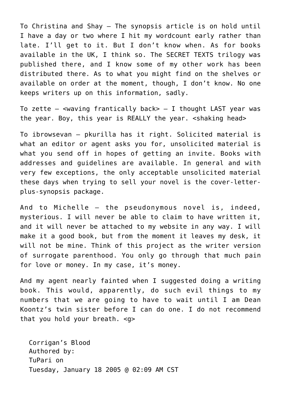To Christina and Shay — The synopsis article is on hold until I have a day or two where I hit my wordcount early rather than late. I'll get to it. But I don't know when. As for books available in the UK, I think so. The SECRET TEXTS trilogy was published there, and I know some of my other work has been distributed there. As to what you might find on the shelves or available on order at the moment, though, I don't know. No one keeps writers up on this information, sadly.

To zette  $-$  <waving frantically back>  $-$  I thought LAST year was the year. Boy, this year is REALLY the year. <shaking head>

To ibrowsevan — pkurilla has it right. Solicited material is what an editor or agent asks you for, unsolicited material is what you send off in hopes of getting an invite. Books with addresses and guidelines are available. In general and with very few exceptions, the only acceptable unsolicited material these days when trying to sell your novel is the cover-letterplus-synopsis package.

And to Michelle — the pseudonymous novel is, indeed, mysterious. I will never be able to claim to have written it, and it will never be attached to my website in any way. I will make it a good book, but from the moment it leaves my desk, it will not be mine. Think of this project as the writer version of surrogate parenthood. You only go through that much pain for love or money. In my case, it's money.

And my agent nearly fainted when I suggested doing a writing book. This would, apparently, do such evil things to my numbers that we are going to have to wait until I am Dean Koontz's twin sister before I can do one. I do not recommend that you hold your breath. <g>

Corrigan's Blood Authored by: [TuPari](https://hollylisle.com/writingdiary/users.php?mode=profile&uid=237) on Tuesday, January 18 2005 @ 02:09 AM CST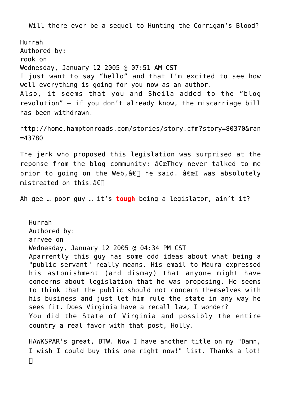Will there ever be a sequel to Hunting the Corrigan's Blood?

Hurrah Authored by: [rook](https://hollylisle.com/writingdiary/users.php?mode=profile&uid=217) on Wednesday, January 12 2005 @ 07:51 AM CST I just want to say "hello" and that I'm excited to see how well everything is going for you now as an author. Also, it seems that you and Sheila added to the "blog revolution" – if you don't already know, the miscarriage bill has been withdrawn.

http://home.hamptonroads.com/stories/story.cfm?story=80370&ran  $=43780$ 

The jerk who proposed this legislation was surprised at the reponse from the blog community:  $\hat{a} \in \mathbb{C}$ They never talked to me prior to going on the Web, â€ $\sqcap$  he said. "I was absolutely mistreated on this.â€

Ah gee … poor guy … it's **tough** being a legislator, ain't it?

Hurrah Authored by: [arrvee](https://hollylisle.com/writingdiary/users.php?mode=profile&uid=127) on Wednesday, January 12 2005 @ 04:34 PM CST Aparrently this guy has some odd ideas about what being a "public servant" really means. His email to Maura expressed his astonishment (and dismay) that anyone might have concerns about legislation that he was proposing. He seems to think that the public should not concern themselves with his business and just let him rule the state in any way he sees fit. Does Virginia have a recall law, I wonder? You did the State of Virginia and possibly the entire country a real favor with that post, Holly.

HAWKSPAR's great, BTW. Now I have another title on my "Damn, I wish I could buy this one right now!" list. Thanks a lot!  $\Box$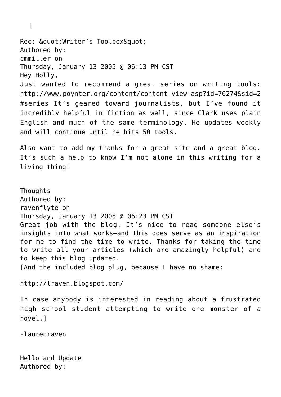] Rec: " Writer's Toolbox" Authored by: [cmmiller](https://hollylisle.com/writingdiary/users.php?mode=profile&uid=161) on Thursday, January 13 2005 @ 06:13 PM CST Hey Holly, Just wanted to recommend a great series on writing tools: http://www.poynter.org/content/content\_view.asp?id=76274&sid=2 #series It's geared toward journalists, but I've found it incredibly helpful in fiction as well, since Clark uses plain English and much of the same terminology. He updates weekly and will continue until he hits 50 tools. Also want to add my thanks for a great site and a great blog. It's such a help to know I'm not alone in this writing for a living thing! Thoughts Authored by: [ravenflyte](https://hollylisle.com/writingdiary/users.php?mode=profile&uid=141) on Thursday, January 13 2005 @ 06:23 PM CST Great job with the blog. It's nice to read someone else's insights into what works–and this does serve as an inspiration for me to find the time to write. Thanks for taking the time to write all your articles (which are amazingly helpful) and to keep this blog updated. [And the included blog plug, because I have no shame: http://lraven.blogspot.com/ In case anybody is interested in reading about a frustrated high school student attempting to write one monster of a novel.] -laurenraven Hello and Update Authored by: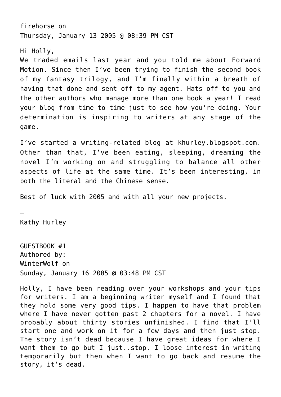[firehorse](https://hollylisle.com/writingdiary/users.php?mode=profile&uid=226) on Thursday, January 13 2005 @ 08:39 PM CST

Hi Holly,

We traded emails last year and you told me about Forward Motion. Since then I've been trying to finish the second book of my fantasy trilogy, and I'm finally within a breath of having that done and sent off to my agent. Hats off to you and the other authors who manage more than one book a year! I read your blog from time to time just to see how you're doing. Your determination is inspiring to writers at any stage of the game.

I've started a writing-related blog at khurley.blogspot.com. Other than that, I've been eating, sleeping, dreaming the novel I'm working on and struggling to balance all other aspects of life at the same time. It's been interesting, in both the literal and the Chinese sense.

Best of luck with 2005 and with all your new projects.

Kathy Hurley

—

GUESTBOOK #1 Authored by: [WinterWolf](https://hollylisle.com/writingdiary/users.php?mode=profile&uid=232) on Sunday, January 16 2005 @ 03:48 PM CST

Holly, I have been reading over your workshops and your tips for writers. I am a beginning writer myself and I found that they hold some very good tips. I happen to have that problem where I have never gotten past 2 chapters for a novel. I have probably about thirty stories unfinished. I find that I'll start one and work on it for a few days and then just stop. The story isn't dead because I have great ideas for where I want them to go but I just..stop. I loose interest in writing temporarily but then when I want to go back and resume the story, it's dead.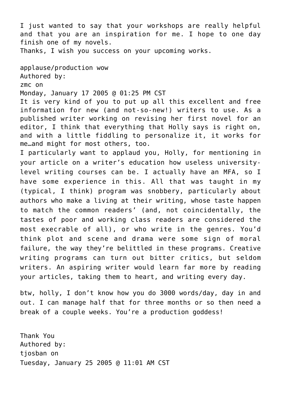I just wanted to say that your workshops are really helpful and that you are an inspiration for me. I hope to one day finish one of my novels.

Thanks, I wish you success on your upcoming works.

applause/production wow Authored by: [zmc](https://hollylisle.com/writingdiary/users.php?mode=profile&uid=235) on

Monday, January 17 2005 @ 01:25 PM CST

It is very kind of you to put up all this excellent and free information for new (and not-so-new!) writers to use. As a published writer working on revising her first novel for an editor, I think that everything that Holly says is right on, and with a little fiddling to personalize it, it works for me…and might for most others, too.

I particularly want to applaud you, Holly, for mentioning in your article on a writer's education how useless universitylevel writing courses can be. I actually have an MFA, so I have some experience in this. All that was taught in my (typical, I think) program was snobbery, particularly about authors who make a living at their writing, whose taste happen to match the common readers' (and, not coincidentally, the tastes of poor and working class readers are considered the most execrable of all), or who write in the genres. You'd think plot and scene and drama were some sign of moral failure, the way they're belittled in these programs. Creative writing programs can turn out bitter critics, but seldom writers. An aspiring writer would learn far more by reading your articles, taking them to heart, and writing every day.

btw, holly, I don't know how you do 3000 words/day, day in and out. I can manage half that for three months or so then need a break of a couple weeks. You're a production goddess!

Thank You Authored by: [tjosban](https://hollylisle.com/writingdiary/users.php?mode=profile&uid=73) on Tuesday, January 25 2005 @ 11:01 AM CST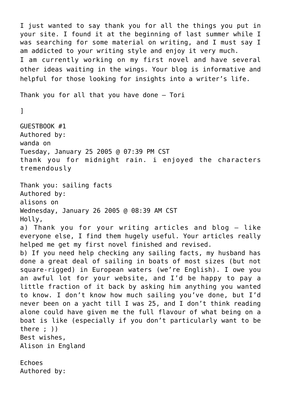I just wanted to say thank you for all the things you put in your site. I found it at the beginning of last summer while I was searching for some material on writing, and I must say I am addicted to your writing style and enjoy it very much. I am currently working on my first novel and have several other ideas waiting in the wings. Your blog is informative and helpful for those looking for insights into a writer's life. Thank you for all that you have done – Tori ] GUESTBOOK #1 Authored by: [wanda](https://hollylisle.com/writingdiary/users.php?mode=profile&uid=255) on Tuesday, January 25 2005 @ 07:39 PM CST thank you for midnight rain. i enjoyed the characters tremendously Thank you: sailing facts Authored by: [alisons](https://hollylisle.com/writingdiary/users.php?mode=profile&uid=178) on Wednesday, January 26 2005 @ 08:39 AM CST Holly, a) Thank you for your writing articles and blog – like everyone else, I find them hugely useful. Your articles really helped me get my first novel finished and revised. b) If you need help checking any sailing facts, my husband has done a great deal of sailing in boats of most sizes (but not square-rigged) in European waters (we're English). I owe you an awful lot for your website, and I'd be happy to pay a little fraction of it back by asking him anything you wanted to know. I don't know how much sailing you've done, but I'd never been on a yacht till I was 25, and I don't think reading alone could have given me the full flavour of what being on a boat is like (especially if you don't particularly want to be there ; )) Best wishes, Alison in England Echoes Authored by: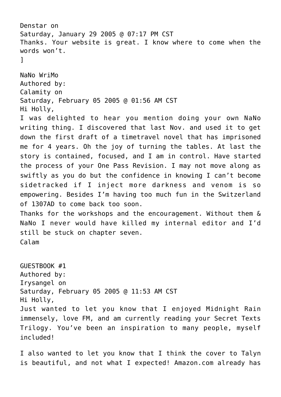```
Denstar on
Saturday, January 29 2005 @ 07:17 PM CST
Thanks. Your website is great. I know where to come when the
words won't.
]
NaNo WriMo
Authored by:
Calamity on
Saturday, February 05 2005 @ 01:56 AM CST
Hi Holly,
I was delighted to hear you mention doing your own NaNo
writing thing. I discovered that last Nov. and used it to get
down the first draft of a timetravel novel that has imprisoned
me for 4 years. Oh the joy of turning the tables. At last the
story is contained, focused, and I am in control. Have started
the process of your One Pass Revision. I may not move along as
swiftly as you do but the confidence in knowing I can't become
sidetracked if I inject more darkness and venom is so
empowering. Besides I'm having too much fun in the Switzerland
of 1307AD to come back too soon.
Thanks for the workshops and the encouragement. Without them &
NaNo I never would have killed my internal editor and I'd
still be stuck on chapter seven.
Calam
GUESTBOOK #1
Authored by:
Irysangel on
Saturday, February 05 2005 @ 11:53 AM CST
Hi Holly,
Just wanted to let you know that I enjoyed Midnight Rain
immensely, love FM, and am currently reading your Secret Texts
Trilogy. You've been an inspiration to many people, myself
included!
```
I also wanted to let you know that I think the cover to Talyn is beautiful, and not what I expected! Amazon.com already has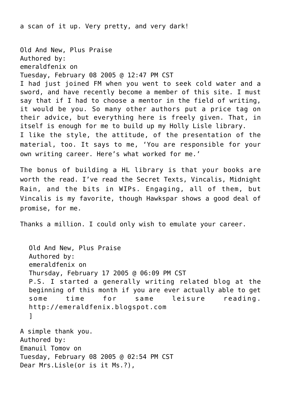a scan of it up. Very pretty, and very dark!

Old And New, Plus Praise Authored by: [emeraldfenix](https://hollylisle.com/writingdiary/users.php?mode=profile&uid=261) on Tuesday, February 08 2005 @ 12:47 PM CST I had just joined FM when you went to seek cold water and a sword, and have recently become a member of this site. I must say that if I had to choose a mentor in the field of writing, it would be you. So many other authors put a price tag on their advice, but everything here is freely given. That, in itself is enough for me to build up my Holly Lisle library. I like the style, the attitude, of the presentation of the material, too. It says to me, 'You are responsible for your own writing career. Here's what worked for me.'

The bonus of building a HL library is that your books are worth the read. I've read the Secret Texts, Vincalis, Midnight Rain, and the bits in WIPs. Engaging, all of them, but Vincalis is my favorite, though Hawkspar shows a good deal of promise, for me.

Thanks a million. I could only wish to emulate your career.

```
Old And New, Plus Praise
  Authored by:
  emeraldfenix on
  Thursday, February 17 2005 @ 06:09 PM CST
  P.S. I started a generally writing related blog at the
  beginning of this month if you are ever actually able to get
  some time for same leisure reading.
  http://emeraldfenix.blogspot.com
  ]
A simple thank you.
Authored by:
Emanuil Tomov on
Tuesday, February 08 2005 @ 02:54 PM CST
Dear Mrs.Lisle(or is it Ms.?),
```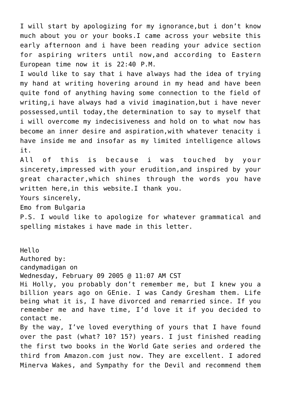I will start by apologizing for my ignorance,but i don't know much about you or your books.I came across your website this early afternoon and i have been reading your advice section for aspiring writers until now,and according to Eastern European time now it is 22:40 P.M.

I would like to say that i have always had the idea of trying my hand at writing hovering around in my head and have been quite fond of anything having some connection to the field of writing,i have always had a vivid imagination,but i have never possessed,until today,the determination to say to myself that i will overcome my indecisiveness and hold on to what now has become an inner desire and aspiration,with whatever tenacity i have inside me and insofar as my limited intelligence allows it.

All of this is because i was touched by your sincerety,impressed with your erudition,and inspired by your great character,which shines through the words you have written here,in this website.I thank you.

Yours sincerely,

Emo from Bulgaria

P.S. I would like to apologize for whatever grammatical and spelling mistakes i have made in this letter.

Hello Authored by: [candymadigan](https://hollylisle.com/writingdiary/users.php?mode=profile&uid=292) on Wednesday, February 09 2005 @ 11:07 AM CST Hi Holly, you probably don't remember me, but I knew you a billion years ago on GEnie. I was Candy Gresham them. Life being what it is, I have divorced and remarried since. If you remember me and have time, I'd love it if you decided to contact me. By the way, I've loved everything of yours that I have found over the past (what? 10? 15?) years. I just finished reading the first two books in the World Gate series and ordered the third from Amazon.com just now. They are excellent. I adored Minerva Wakes, and Sympathy for the Devil and recommend them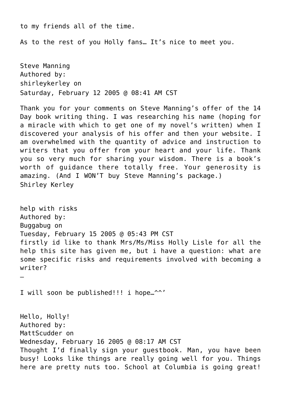to my friends all of the time.

As to the rest of you Holly fans… It's nice to meet you.

Steve Manning Authored by: [shirleykerley](https://hollylisle.com/writingdiary/users.php?mode=profile&uid=299) on Saturday, February 12 2005 @ 08:41 AM CST

Thank you for your comments on Steve Manning's offer of the 14 Day book writing thing. I was researching his name (hoping for a miracle with which to get one of my novel's written) when I discovered your analysis of his offer and then your website. I am overwhelmed with the quantity of advice and instruction to writers that you offer from your heart and your life. Thank you so very much for sharing your wisdom. There is a book's worth of guidance there totally free. Your generosity is amazing. (And I WON'T buy Steve Manning's package.) Shirley Kerley

help with risks Authored by: [Buggabug](https://hollylisle.com/writingdiary/users.php?mode=profile&uid=254) on Tuesday, February 15 2005 @ 05:43 PM CST firstly id like to thank Mrs/Ms/Miss Holly Lisle for all the help this site has given me, but i have a question: what are some specific risks and requirements involved with becoming a writer?

I will soon be published!!! i hope…^^'

—

Hello, Holly! Authored by: [MattScudder](https://hollylisle.com/writingdiary/users.php?mode=profile&uid=10) on Wednesday, February 16 2005 @ 08:17 AM CST Thought I'd finally sign your guestbook. Man, you have been busy! Looks like things are really going well for you. Things here are pretty nuts too. School at Columbia is going great!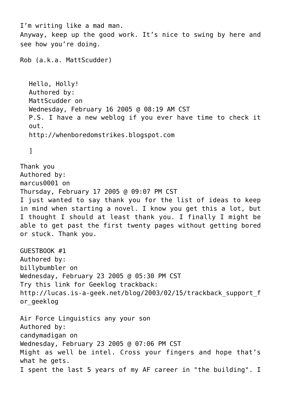I'm writing like a mad man. Anyway, keep up the good work. It's nice to swing by here and see how you're doing.

Rob (a.k.a. MattScudder)

```
Hello, Holly!
Authored by:
MattScudder on
Wednesday, February 16 2005 @ 08:19 AM CST
P.S. I have a new weblog if you ever have time to check it
out.
http://whenboredomstrikes.blogspot.com
```
]

Thank you Authored by: [marcus0001](https://hollylisle.com/writingdiary/users.php?mode=profile&uid=308) on Thursday, February 17 2005 @ 09:07 PM CST I just wanted to say thank you for the list of ideas to keep in mind when starting a novel. I know you get this a lot, but I thought I should at least thank you. I finally I might be able to get past the first twenty pages without getting bored or stuck. Thank you. GUESTBOOK #1 Authored by: [billybumbler](https://hollylisle.com/writingdiary/users.php?mode=profile&uid=266) on Wednesday, February 23 2005 @ 05:30 PM CST Try this link for Geeklog trackback: [http://lucas.is-a-geek.net/blog/2003/02/15/trackback\\_support\\_f](http://lucas.is-a-geek.net/blog/2003/02/15/trackback_support_for_geeklog) [or\\_geeklog](http://lucas.is-a-geek.net/blog/2003/02/15/trackback_support_for_geeklog) Air Force Linguistics any your son Authored by: [candymadigan](https://hollylisle.com/writingdiary/users.php?mode=profile&uid=292) on Wednesday, February 23 2005 @ 07:06 PM CST Might as well be intel. Cross your fingers and hope that's what he gets. I spent the last 5 years of my AF career in "the building". I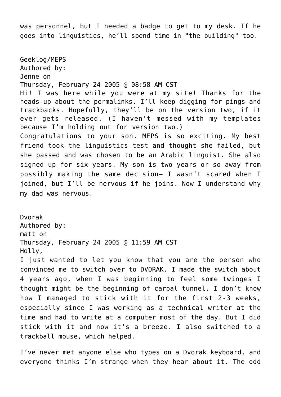was personnel, but I needed a badge to get to my desk. If he goes into linguistics, he'll spend time in "the building" too.

Geeklog/MEPS Authored by: [Jenne](https://hollylisle.com/writingdiary/users.php?mode=profile&uid=290) on Thursday, February 24 2005 @ 08:58 AM CST Hi! I was here while you were at my site! Thanks for the heads-up about the permalinks. I'll keep digging for pings and trackbacks. Hopefully, they'll be on the version two, if it ever gets released. (I haven't messed with my templates because I'm holding out for version two.) Congratulations to your son. MEPS is so exciting. My best friend took the linguistics test and thought she failed, but she passed and was chosen to be an Arabic linguist. She also signed up for six years. My son is two years or so away from possibly making the same decision– I wasn't scared when I joined, but I'll be nervous if he joins. Now I understand why my dad was nervous.

Dvorak Authored by: [matt](https://hollylisle.com/writingdiary/users.php?mode=profile&uid=332) on Thursday, February 24 2005 @ 11:59 AM CST Holly, I just wanted to let you know that you are the person who convinced me to switch over to DVORAK. I made the switch about 4 years ago, when I was beginning to feel some twinges I thought might be the beginning of carpal tunnel. I don't know how I managed to stick with it for the first 2-3 weeks, especially since I was working as a technical writer at the time and had to write at a computer most of the day. But I did stick with it and now it's a breeze. I also switched to a trackball mouse, which helped.

I've never met anyone else who types on a Dvorak keyboard, and everyone thinks I'm strange when they hear about it. The odd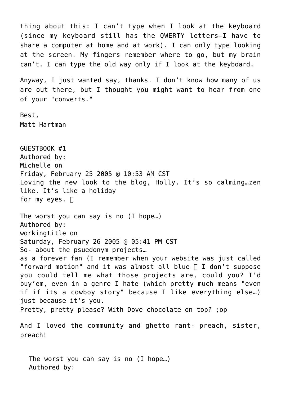thing about this: I can't type when I look at the keyboard (since my keyboard still has the QWERTY letters–I have to share a computer at home and at work). I can only type looking at the screen. My fingers remember where to go, but my brain can't. I can type the old way only if I look at the keyboard. Anyway, I just wanted say, thanks. I don't know how many of us are out there, but I thought you might want to hear from one of your "converts." Best, Matt Hartman GUESTBOOK #1 Authored by: [Michelle](https://hollylisle.com/writingdiary/users.php?mode=profile&uid=20) on Friday, February 25 2005 @ 10:53 AM CST Loving the new look to the blog, Holly. It's so calming…zen like. It's like a holiday for my eyes.  $\Box$ The worst you can say is no (I hope…) Authored by: [workingtitle](https://hollylisle.com/writingdiary/users.php?mode=profile&uid=338) on Saturday, February 26 2005 @ 05:41 PM CST So- about the psuedonym projects… as a forever fan (I remember when your website was just called "forward motion" and it was almost all blue  $\Box$  I don't suppose you could tell me what those projects are, could you? I'd buy'em, even in a genre I hate (which pretty much means "even if if its a cowboy story" because I like everything else…) just because it's you. Pretty, pretty please? With Dove chocolate on top? ;op And I loved the community and ghetto rant- preach, sister, preach! The worst you can say is no (I hope…) Authored by: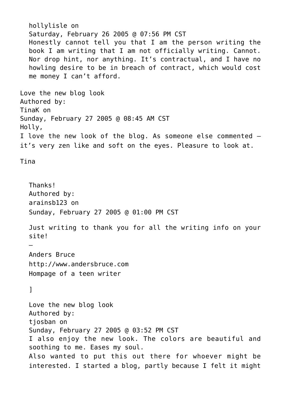[hollylisle](https://hollylisle.com/writingdiary/users.php?mode=profile&uid=2) on Saturday, February 26 2005 @ 07:56 PM CST Honestly cannot tell you that I am the person writing the book I am writing that I am not officially writing. Cannot. Nor drop hint, nor anything. It's contractual, and I have no howling desire to be in breach of contract, which would cost me money I can't afford. Love the new blog look Authored by: [TinaK](https://hollylisle.com/writingdiary/users.php?mode=profile&uid=82) on Sunday, February 27 2005 @ 08:45 AM CST Holly, I love the new look of the blog. As someone else commented – it's very zen like and soft on the eyes. Pleasure to look at. Tina Thanks! Authored by: [arainsb123](https://hollylisle.com/writingdiary/users.php?mode=profile&uid=340) on Sunday, February 27 2005 @ 01:00 PM CST Just writing to thank you for all the writing info on your site! — Anders Bruce http://www.andersbruce.com Hompage of a teen writer ] Love the new blog look Authored by: [tjosban](https://hollylisle.com/writingdiary/users.php?mode=profile&uid=73) on Sunday, February 27 2005 @ 03:52 PM CST I also enjoy the new look. The colors are beautiful and soothing to me. Eases my soul. Also wanted to put this out there for whoever might be interested. I started a blog, partly because I felt it might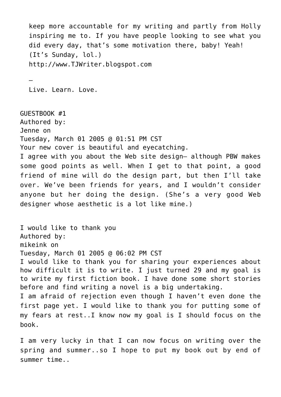keep more accountable for my writing and partly from Holly inspiring me to. If you have people looking to see what you did every day, that's some motivation there, baby! Yeah! (It's Sunday, lol.) <http://www.TJWriter.blogspot.com> — Live. Learn. Love. GUESTBOOK #1 Authored by: [Jenne](https://hollylisle.com/writingdiary/users.php?mode=profile&uid=290) on Tuesday, March 01 2005 @ 01:51 PM CST Your new cover is beautiful and eyecatching. I agree with you about the Web site design– although PBW makes some good points as well. When I get to that point, a good friend of mine will do the design part, but then I'll take over. We've been friends for years, and I wouldn't consider anyone but her doing the design. (She's a very good Web designer whose aesthetic is a lot like mine.) I would like to thank you Authored by: [mikeink](https://hollylisle.com/writingdiary/users.php?mode=profile&uid=344) on Tuesday, March 01 2005 @ 06:02 PM CST I would like to thank you for sharing your experiences about how difficult it is to write. I just turned 29 and my goal is to write my first fiction book. I have done some short stories before and find writing a novel is a big undertaking. I am afraid of rejection even though I haven't even done the first page yet. I would like to thank you for putting some of my fears at rest..I know now my goal is I should focus on the book.

I am very lucky in that I can now focus on writing over the spring and summer..so I hope to put my book out by end of summer time..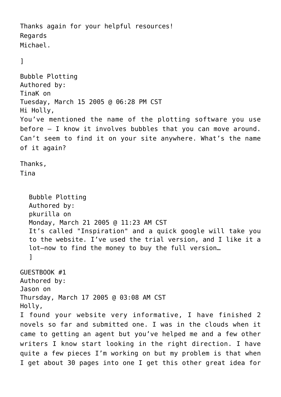Thanks again for your helpful resources! Regards Michael. ] Bubble Plotting Authored by: [TinaK](https://hollylisle.com/writingdiary/users.php?mode=profile&uid=82) on Tuesday, March 15 2005 @ 06:28 PM CST Hi Holly, You've mentioned the name of the plotting software you use before – I know it involves bubbles that you can move around. Can't seem to find it on your site anywhere. What's the name of it again? Thanks, Tina Bubble Plotting Authored by: [pkurilla](https://hollylisle.com/writingdiary/users.php?mode=profile&uid=5) on Monday, March 21 2005 @ 11:23 AM CST It's called "Inspiration" and a quick google will take you to the website. I've used the trial version, and I like it a lot–now to find the money to buy the full version… ] GUESTBOOK #1 Authored by: [Jason](https://hollylisle.com/writingdiary/users.php?mode=profile&uid=360) on Thursday, March 17 2005 @ 03:08 AM CST Holly, I found your website very informative, I have finished 2 novels so far and submitted one. I was in the clouds when it came to getting an agent but you've helped me and a few other writers I know start looking in the right direction. I have quite a few pieces I'm working on but my problem is that when I get about 30 pages into one I get this other great idea for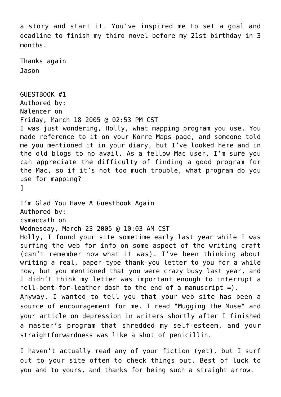a story and start it. You've inspired me to set a goal and deadline to finish my third novel before my 21st birthday in 3 months. Thanks again Jason GUESTBOOK #1 Authored by: [Nalencer](https://hollylisle.com/writingdiary/users.php?mode=profile&uid=353) on Friday, March 18 2005 @ 02:53 PM CST I was just wondering, Holly, what mapping program you use. You made reference to it on your Korre Maps page, and someone told me you mentioned it in your diary, but I've looked here and in the old blogs to no avail. As a fellow Mac user, I'm sure you can appreciate the difficulty of finding a good program for the Mac, so if it's not too much trouble, what program do you use for mapping? ] I'm Glad You Have A Guestbook Again Authored by: [csmaccath](https://hollylisle.com/writingdiary/users.php?mode=profile&uid=370) on Wednesday, March 23 2005 @ 10:03 AM CST Holly, I found your site sometime early last year while I was surfing the web for info on some aspect of the writing craft (can't remember now what it was). I've been thinking about writing a real, paper-type thank-you letter to you for a while now, but you mentioned that you were crazy busy last year, and I didn't think my letter was important enough to interrupt a hell-bent-for-leather dash to the end of a manuscript =). Anyway, I wanted to tell you that your web site has been a source of encouragement for me. I read "Mugging the Muse" and your article on depression in writers shortly after I finished a master's program that shredded my self-esteem, and your straightforwardness was like a shot of penicillin.

I haven't actually read any of your fiction (yet), but I surf out to your site often to check things out. Best of luck to you and to yours, and thanks for being such a straight arrow.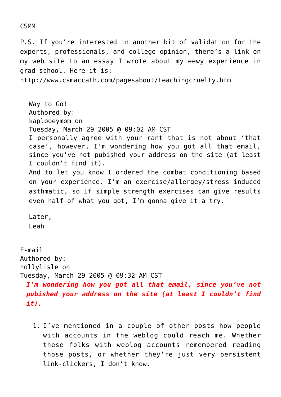P.S. If you're interested in another bit of validation for the experts, professionals, and college opinion, there's a link on my web site to an essay I wrote about my eewy experience in grad school. Here it is: <http://www.csmaccath.com/pagesabout/teachingcruelty.htm> Way to Go! Authored by: [kaplooeymom](https://hollylisle.com/writingdiary/users.php?mode=profile&uid=375) on Tuesday, March 29 2005 @ 09:02 AM CST I personally agree with your rant that is not about 'that case', however, I'm wondering how you got all that email, since you've not pubished your address on the site (at least I couldn't find it). And to let you know I ordered the combat conditioning based on your experience. I'm an exercise/allergey/stress induced asthmatic, so if simple strength exercises can give results even half of what you got, I'm gonna give it a try. Later, Leah

E-mail Authored by: [hollylisle](https://hollylisle.com/writingdiary/users.php?mode=profile&uid=2) on Tuesday, March 29 2005 @ 09:32 AM CST *I'm wondering how you got all that email, since you've not pubished your address on the site (at least I couldn't find it).*

1. I've mentioned in a couple of other posts how people with accounts in the weblog could reach me. Whether these folks with weblog accounts remembered reading those posts, or whether they're just very persistent link-clickers, I don't know.

## CSMM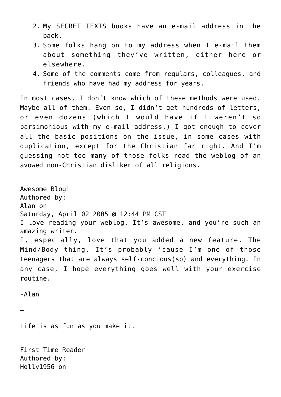- 2. My SECRET TEXTS books have an e-mail address in the back.
- 3. Some folks hang on to my address when I e-mail them about something they've written, either here or elsewhere.
- 4. Some of the comments come from regulars, colleagues, and friends who have had my address for years.

In most cases, I don't know which of these methods were used. Maybe all of them. Even so, I didn't get hundreds of letters, or even dozens (which I would have if I weren't so parsimonious with my e-mail address.) I got enough to cover all the basic positions on the issue, in some cases with duplication, except for the Christian far right. And I'm guessing not too many of those folks read the weblog of an avowed non-Christian disliker of all religions.

Awesome Blog! Authored by: [Alan](https://hollylisle.com/writingdiary/users.php?mode=profile&uid=212) on Saturday, April 02 2005 @ 12:44 PM CST I love reading your weblog. It's awesome, and you're such an amazing writer. I, especially, love that you added a new feature. The Mind/Body thing. It's probably 'cause I'm one of those teenagers that are always self-concious(sp) and everything. In any case, I hope everything goes well with your exercise routine.

-Alan

—

Life is as fun as you make it.

First Time Reader Authored by: [Holly1956](https://hollylisle.com/writingdiary/users.php?mode=profile&uid=386) on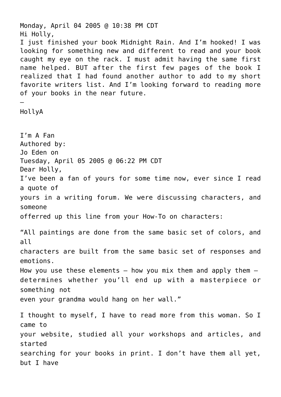Monday, April 04 2005 @ 10:38 PM CDT Hi Holly, I just finished your book Midnight Rain. And I'm hooked! I was looking for something new and different to read and your book caught my eye on the rack. I must admit having the same first name helped. BUT after the first few pages of the book I realized that I had found another author to add to my short favorite writers list. And I'm looking forward to reading more of your books in the near future. — HollyA I'm A Fan Authored by: [Jo Eden](https://hollylisle.com/writingdiary/users.php?mode=profile&uid=27) on Tuesday, April 05 2005 @ 06:22 PM CDT Dear Holly, I've been a fan of yours for some time now, ever since I read a quote of yours in a writing forum. We were discussing characters, and someone offerred up this line from your How-To on characters: "All paintings are done from the same basic set of colors, and all characters are built from the same basic set of responses and emotions. How you use these elements  $-$  how you mix them and apply them  $$ determines whether you'll end up with a masterpiece or something not even your grandma would hang on her wall." I thought to myself, I have to read more from this woman. So I came to your website, studied all your workshops and articles, and started searching for your books in print. I don't have them all yet, but I have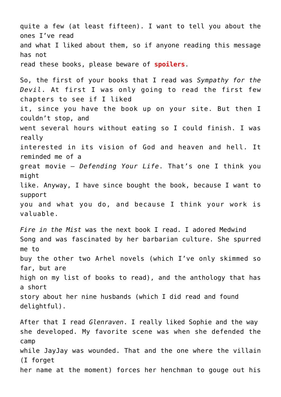quite a few (at least fifteen). I want to tell you about the ones I've read and what I liked about them, so if anyone reading this message has not read these books, please beware of **spoilers**. So, the first of your books that I read was *Sympathy for the Devil*. At first I was only going to read the first few chapters to see if I liked it, since you have the book up on your site. But then I couldn't stop, and went several hours without eating so I could finish. I was really interested in its vision of God and heaven and hell. It reminded me of a great movie — *Defending Your Life*. That's one I think you might like. Anyway, I have since bought the book, because I want to support you and what you do, and because I think your work is valuable. *Fire in the Mist* was the next book I read. I adored Medwind Song and was fascinated by her barbarian culture. She spurred me to buy the other two Arhel novels (which I've only skimmed so far, but are high on my list of books to read), and the anthology that has a short story about her nine husbands (which I did read and found delightful). After that I read *Glenraven*. I really liked Sophie and the way she developed. My favorite scene was when she defended the camp while JayJay was wounded. That and the one where the villain (I forget her name at the moment) forces her henchman to gouge out his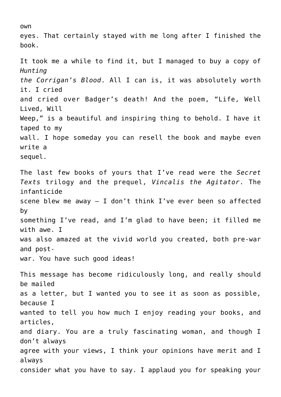eyes. That certainly stayed with me long after I finished the book. It took me a while to find it, but I managed to buy a copy of *Hunting the Corrigan's Blood*. All I can is, it was absolutely worth it. I cried and cried over Badger's death! And the poem, "Life, Well Lived, Will Weep," is a beautiful and inspiring thing to behold. I have it taped to my wall. I hope someday you can resell the book and maybe even write a sequel. The last few books of yours that I've read were the *Secret Texts* trilogy and the prequel, *Vincalis the Agitator*. The infanticide scene blew me away — I don't think I've ever been so affected by something I've read, and I'm glad to have been; it filled me with awe. I was also amazed at the vivid world you created, both pre-war and postwar. You have such good ideas! This message has become ridiculously long, and really should be mailed as a letter, but I wanted you to see it as soon as possible, because I wanted to tell you how much I enjoy reading your books, and articles, and diary. You are a truly fascinating woman, and though I don't always agree with your views, I think your opinions have merit and I always consider what you have to say. I applaud you for speaking your

own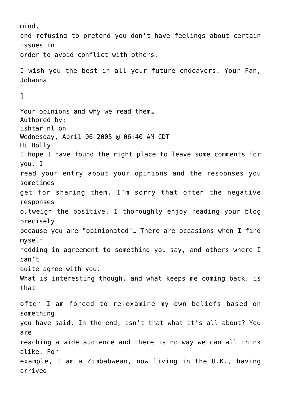mind, and refusing to pretend you don't have feelings about certain issues in order to avoid conflict with others. I wish you the best in all your future endeavors. Your Fan, Johanna ] Your opinions and why we read them... Authored by: [ishtar\\_nl](https://hollylisle.com/writingdiary/users.php?mode=profile&uid=331) on Wednesday, April 06 2005 @ 06:40 AM CDT Hi Holly I hope I have found the right place to leave some comments for you. I read your entry about your opinions and the responses you sometimes get for sharing them. I'm sorry that often the negative responses outweigh the positive. I thoroughly enjoy reading your blog precisely because you are "opinionated"… There are occasions when I find myself nodding in agreement to something you say, and others where I can't quite agree with you. What is interesting though, and what keeps me coming back, is that often I am forced to re-examine my own beliefs based on something you have said. In the end, isn't that what it's all about? You are reaching a wide audience and there is no way we can all think alike. For example, I am a Zimbabwean, now living in the U.K., having arrived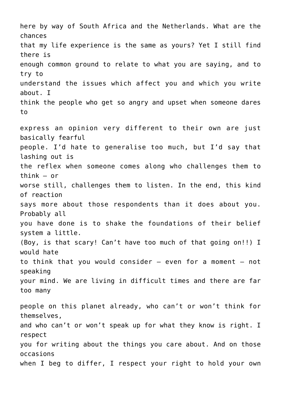here by way of South Africa and the Netherlands. What are the chances that my life experience is the same as yours? Yet I still find there is enough common ground to relate to what you are saying, and to try to understand the issues which affect you and which you write about. I think the people who get so angry and upset when someone dares to express an opinion very different to their own are just basically fearful people. I'd hate to generalise too much, but I'd say that lashing out is the reflex when someone comes along who challenges them to think – or worse still, challenges them to listen. In the end, this kind of reaction says more about those respondents than it does about you. Probably all you have done is to shake the foundations of their belief system a little. (Boy, is that scary! Can't have too much of that going on!!) I would hate to think that you would consider – even for a moment – not speaking your mind. We are living in difficult times and there are far too many people on this planet already, who can't or won't think for themselves, and who can't or won't speak up for what they know is right. I respect you for writing about the things you care about. And on those occasions when I beg to differ, I respect your right to hold your own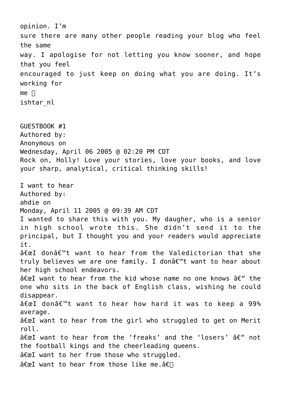opinion. I'm sure there are many other people reading your blog who feel the same way. I apologise for not letting you know sooner, and hope that you feel encouraged to just keep on doing what you are doing. It's working for  $me \ \Box$ ishtar\_nl GUESTBOOK #1 Authored by: Anonymous on Wednesday, April 06 2005 @ 02:20 PM CDT Rock on, Holly! Love your stories, love your books, and love your sharp, analytical, critical thinking skills! I want to hear Authored by: [ahdie](https://hollylisle.com/writingdiary/users.php?mode=profile&uid=277) on Monday, April 11 2005 @ 09:39 AM CDT I wanted to share this with you. My daugher, who is a senior in high school wrote this. She didn't send it to the principal, but I thought you and your readers would appreciate it.  $\hat{\mathbf{a}} \in \mathbb{R}$  don $\hat{\mathbf{a}} \in \mathbb{R}^m$ t want to hear from the Valedictorian that she truly believes we are one family. I donâ $\epsilon$ <sup>m</sup>t want to hear about her high school endeavors.  $\hat{\sigma} \in \mathbb{R}$  want to hear from the kid whose name no one knows  $\hat{\sigma} \in \mathbb{C}$  the one who sits in the back of English class, wishing he could disappear.  $\hat{\mathbf{a}} \in \mathbb{R}$  don $\hat{\mathbf{a}} \in \mathbb{R}^m$ t want to hear how hard it was to keep a 99% average.  $\hat{\sigma} \in \mathbb{R}$  want to hear from the girl who struggled to get on Merit roll.  $\hat{\theta}$  want to hear from the 'freaks' and the 'losers'  $\hat{\theta}$   $\epsilon$ " not the football kings and the cheerleading queens.  $\hat{\sigma}$ E $\mathfrak{C}$  want to her from those who struggled.  $\hat{\sigma}$  and  $\hat{\sigma}$  are from those like me.  $\hat{\sigma}$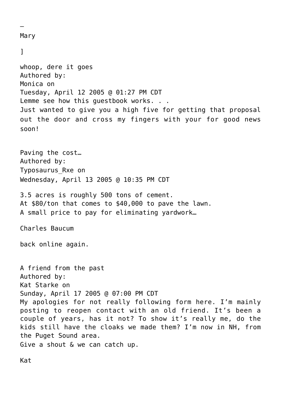Mary

]

—

whoop, dere it goes Authored by: [Monica](https://hollylisle.com/writingdiary/users.php?mode=profile&uid=369) on Tuesday, April 12 2005 @ 01:27 PM CDT Lemme see how this questbook works... Just wanted to give you a high five for getting that proposal out the door and cross my fingers with your for good news soon! Paving the cost…

Authored by: [Typosaurus\\_Rxe](https://hollylisle.com/writingdiary/users.php?mode=profile&uid=405) on Wednesday, April 13 2005 @ 10:35 PM CDT

3.5 acres is roughly 500 tons of cement. At \$80/ton that comes to \$40,000 to pave the lawn. A small price to pay for eliminating yardwork…

Charles Baucum

back online again.

A friend from the past Authored by: [Kat Starke](https://hollylisle.com/writingdiary/users.php?mode=profile&uid=413) on Sunday, April 17 2005 @ 07:00 PM CDT My apologies for not really following form here. I'm mainly posting to reopen contact with an old friend. It's been a couple of years, has it not? To show it's really me, do the kids still have the cloaks we made them? I'm now in NH, from the Puget Sound area. Give a shout & we can catch up.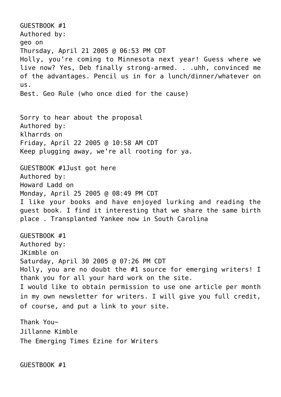GUESTBOOK #1 Authored by: [geo](https://hollylisle.com/writingdiary/users.php?mode=profile&uid=417) on Thursday, April 21 2005 @ 06:53 PM CDT Holly, you're coming to Minnesota next year! Guess where we live now? Yes, Deb finally strong-armed. . .uhh, convinced me of the advantages. Pencil us in for a lunch/dinner/whatever on us. Best. Geo Rule (who once died for the cause) Sorry to hear about the proposal Authored by: [klharrds](https://hollylisle.com/writingdiary/users.php?mode=profile&uid=245) on Friday, April 22 2005 @ 10:58 AM CDT Keep plugging away, we're all rooting for ya. GUESTBOOK #1Just got here Authored by: [Howard Ladd](https://hollylisle.com/writingdiary/users.php?mode=profile&uid=420) on Monday, April 25 2005 @ 08:49 PM CDT I like your books and have enjoyed lurking and reading the guest book. I find it interesting that we share the same birth place . Transplanted Yankee now in South Carolina GUESTBOOK #1 Authored by: [JKimble](https://hollylisle.com/writingdiary/users.php?mode=profile&uid=470) on Saturday, April 30 2005 @ 07:26 PM CDT Holly, you are no doubt the #1 source for emerging writers! I thank you for all your hard work on the site. I would like to obtain permission to use one article per month in my own newsletter for writers. I will give you full credit, of course, and put a link to your site. Thank You~ Jillanne Kimble The Emerging Times Ezine for Writers GUESTBOOK #1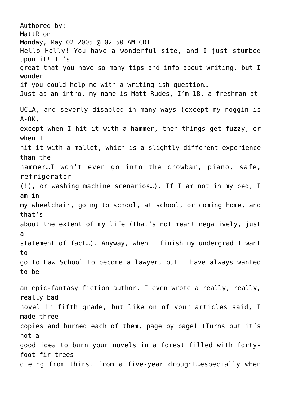Authored by: [MattR](https://hollylisle.com/writingdiary/users.php?mode=profile&uid=477) on Monday, May 02 2005 @ 02:50 AM CDT Hello Holly! You have a wonderful site, and I just stumbed upon it! It's great that you have so many tips and info about writing, but I wonder if you could help me with a writing-ish question… Just as an intro, my name is Matt Rudes, I'm 18, a freshman at UCLA, and severly disabled in many ways (except my noggin is  $A-OK$ . except when I hit it with a hammer, then things get fuzzy, or when I hit it with a mallet, which is a slightly different experience than the hammer…I won't even go into the crowbar, piano, safe, refrigerator (!), or washing machine scenarios…). If I am not in my bed, I am in my wheelchair, going to school, at school, or coming home, and that's about the extent of my life (that's not meant negatively, just a statement of fact…). Anyway, when I finish my undergrad I want to go to Law School to become a lawyer, but I have always wanted to be an epic-fantasy fiction author. I even wrote a really, really, really bad novel in fifth grade, but like on of your articles said, I made three copies and burned each of them, page by page! (Turns out it's not a good idea to burn your novels in a forest filled with fortyfoot fir trees dieing from thirst from a five-year drought…especially when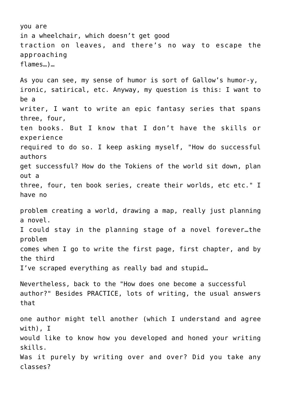you are in a wheelchair, which doesn't get good traction on leaves, and there's no way to escape the approaching flames…)… As you can see, my sense of humor is sort of Gallow's humor-y, ironic, satirical, etc. Anyway, my question is this: I want to be a writer, I want to write an epic fantasy series that spans three, four, ten books. But I know that I don't have the skills or experience required to do so. I keep asking myself, "How do successful authors get successful? How do the Tokiens of the world sit down, plan out a three, four, ten book series, create their worlds, etc etc." I have no problem creating a world, drawing a map, really just planning a novel. I could stay in the planning stage of a novel forever…the problem comes when I go to write the first page, first chapter, and by the third I've scraped everything as really bad and stupid… Nevertheless, back to the "How does one become a successful author?" Besides PRACTICE, lots of writing, the usual answers that one author might tell another (which I understand and agree with), I would like to know how you developed and honed your writing skills. Was it purely by writing over and over? Did you take any classes?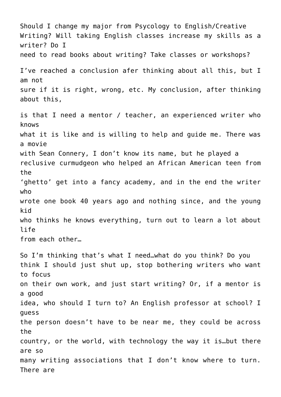Should I change my major from Psycology to English/Creative Writing? Will taking English classes increase my skills as a writer? Do I need to read books about writing? Take classes or workshops? I've reached a conclusion afer thinking about all this, but I am not sure if it is right, wrong, etc. My conclusion, after thinking about this, is that I need a mentor / teacher, an experienced writer who knows what it is like and is willing to help and guide me. There was a movie with Sean Connery, I don't know its name, but he played a reclusive curmudgeon who helped an African American teen from the 'ghetto' get into a fancy academy, and in the end the writer who wrote one book 40 years ago and nothing since, and the young kid who thinks he knows everything, turn out to learn a lot about life from each other… So I'm thinking that's what I need…what do you think? Do you think I should just shut up, stop bothering writers who want to focus on their own work, and just start writing? Or, if a mentor is a good idea, who should I turn to? An English professor at school? I guess the person doesn't have to be near me, they could be across the country, or the world, with technology the way it is…but there are so many writing associations that I don't know where to turn. There are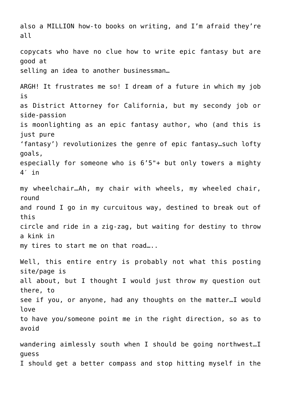also a MILLION how-to books on writing, and I'm afraid they're all copycats who have no clue how to write epic fantasy but are good at selling an idea to another businessman… ARGH! It frustrates me so! I dream of a future in which my job is as District Attorney for California, but my secondy job or side-passion is moonlighting as an epic fantasy author, who (and this is just pure 'fantasy') revolutionizes the genre of epic fantasy…such lofty goals, especially for someone who is 6'5"+ but only towers a mighty 4′ in my wheelchair…Ah, my chair with wheels, my wheeled chair, round and round I go in my curcuitous way, destined to break out of this circle and ride in a zig-zag, but waiting for destiny to throw a kink in my tires to start me on that road….. Well, this entire entry is probably not what this posting site/page is all about, but I thought I would just throw my question out there, to see if you, or anyone, had any thoughts on the matter…I would love to have you/someone point me in the right direction, so as to avoid wandering aimlessly south when I should be going northwest…I guess I should get a better compass and stop hitting myself in the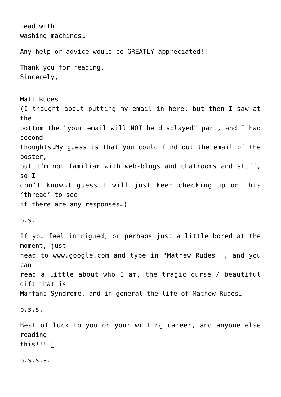head with washing machines… Any help or advice would be GREATLY appreciated!! Thank you for reading, Sincerely, Matt Rudes (I thought about putting my email in here, but then I saw at the bottom the "your email will NOT be displayed" part, and I had second thoughts…My guess is that you could find out the email of the poster, but I'm not familiar with web-blogs and chatrooms and stuff, so I don't know…I guess I will just keep checking up on this 'thread' to see if there are any responses…) p.s. If you feel intrigued, or perhaps just a little bored at the moment, just head to [www.google.com](http://www.google.com) and type in "Mathew Rudes" , and you can read a little about who I am, the tragic curse / beautiful gift that is Marfans Syndrome, and in general the life of Mathew Rudes… p.s.s. Best of luck to you on your writing career, and anyone else reading this!!!  $\Box$ p.s.s.s.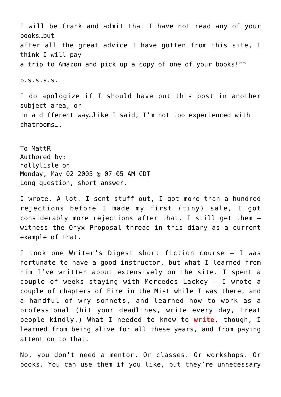I will be frank and admit that I have not read any of your books…but after all the great advice I have gotten from this site, I think I will pay a trip to Amazon and pick up a copy of one of your books!^^ p.s.s.s.s.

I do apologize if I should have put this post in another subject area, or in a different way…like I said, I'm not too experienced with chatrooms….

To MattR Authored by: [hollylisle](https://hollylisle.com/writingdiary/users.php?mode=profile&uid=2) on Monday, May 02 2005 @ 07:05 AM CDT Long question, short answer.

I wrote. A lot. I sent stuff out, I got more than a hundred rejections before I made my first (tiny) sale, I got considerably more rejections after that. I still get them witness the Onyx Proposal thread in this diary as a current example of that.

I took one Writer's Digest short fiction course — I was fortunate to have a good instructor, but what I learned from him I've written about extensively on the site. I spent a couple of weeks staying with Mercedes Lackey — I wrote a couple of chapters of Fire in the Mist while I was there, and a handful of wry sonnets, and learned how to work as a professional (hit your deadlines, write every day, treat people kindly.) What I needed to know to **write**, though, I learned from being alive for all these years, and from paying attention to that.

No, you don't need a mentor. Or classes. Or workshops. Or books. You can use them if you like, but they're unnecessary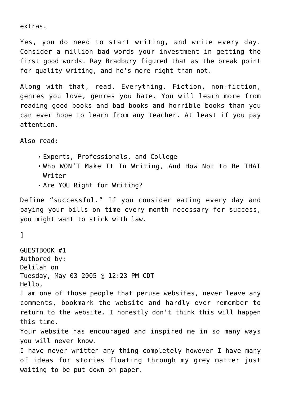extras.

Yes, you do need to start writing, and write every day. Consider a million bad words your investment in getting the first good words. Ray Bradbury figured that as the break point for quality writing, and he's more right than not.

Along with that, read. Everything. Fiction, non-fiction, genres you love, genres you hate. You will learn more from reading good books and bad books and horrible books than you can ever hope to learn from any teacher. At least if you pay attention.

Also read:

- [Experts, Professionals, and College](https://hollylisle.com/fm/Articles/feature6.html)
- [Who WON'T Make It In Writing, And How Not to Be THAT](https://hollylisle.com/fm/Articles/feature8.html) [Writer](https://hollylisle.com/fm/Articles/feature8.html)
- [Are YOU Right for Writing?](https://hollylisle.com/fm/Articles/feature11.html)

Define "successful." If you consider eating every day and paying your bills on time every month necessary for success, you might want to stick with law.

]

GUESTBOOK #1 Authored by: [Delilah](https://hollylisle.com/writingdiary/users.php?mode=profile&uid=486) on Tuesday, May 03 2005 @ 12:23 PM CDT Hello, I am one of those people that peruse websites, never leave any comments, bookmark the website and hardly ever remember to return to the website. I honestly don't think this will happen this time. Your website has encouraged and inspired me in so many ways you will never know. I have never written any thing completely however I have many of ideas for stories floating through my grey matter just waiting to be put down on paper.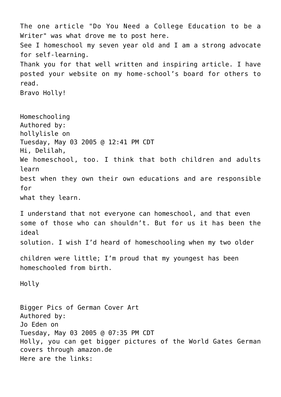The one article "Do You Need a College Education to be a Writer" was what drove me to post here. See I homeschool my seven year old and I am a strong advocate for self-learning. Thank you for that well written and inspiring article. I have posted your website on my home-school's board for others to read. Bravo Holly!

Homeschooling Authored by: [hollylisle](https://hollylisle.com/writingdiary/users.php?mode=profile&uid=2) on Tuesday, May 03 2005 @ 12:41 PM CDT Hi, Delilah, We homeschool, too. I think that both children and adults learn best when they own their own educations and are responsible for what they learn.

I understand that not everyone can homeschool, and that even some of those who can shouldn't. But for us it has been the ideal solution. I wish I'd heard of homeschooling when my two older

children were little; I'm proud that my youngest has been homeschooled from birth.

Holly

Bigger Pics of German Cover Art Authored by: [Jo Eden](https://hollylisle.com/writingdiary/users.php?mode=profile&uid=27) on Tuesday, May 03 2005 @ 07:35 PM CDT Holly, you can get bigger pictures of the World Gates German covers through amazon.de Here are the links: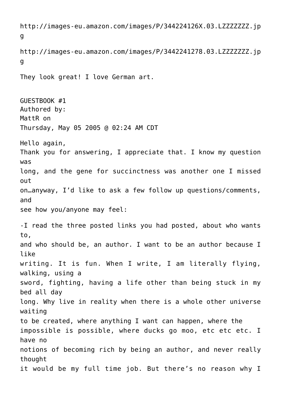[http://images-eu.amazon.com/images/P/344224126X.03.LZZZZZZZ.jp](http://images-eu.amazon.com/images/P/344224126X.03.LZZZZZZZ.jpg) [g](http://images-eu.amazon.com/images/P/344224126X.03.LZZZZZZZ.jpg) [http://images-eu.amazon.com/images/P/3442241278.03.LZZZZZZZ.jp](http://images-eu.amazon.com/images/P/3442241278.03.LZZZZZZZ.jpg) [g](http://images-eu.amazon.com/images/P/3442241278.03.LZZZZZZZ.jpg) They look great! I love German art. GUESTBOOK #1 Authored by: [MattR](https://hollylisle.com/writingdiary/users.php?mode=profile&uid=477) on Thursday, May 05 2005 @ 02:24 AM CDT Hello again, Thank you for answering, I appreciate that. I know my question was long, and the gene for succinctness was another one I missed out on…anyway, I'd like to ask a few follow up questions/comments, and see how you/anyone may feel: -I read the three posted links you had posted, about who wants to, and who should be, an author. I want to be an author because I like writing. It is fun. When I write, I am literally flying, walking, using a sword, fighting, having a life other than being stuck in my bed all day long. Why live in reality when there is a whole other universe waiting to be created, where anything I want can happen, where the impossible is possible, where ducks go moo, etc etc etc. I have no notions of becoming rich by being an author, and never really thought it would be my full time job. But there's no reason why I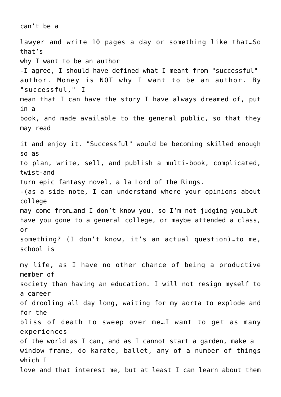lawyer and write 10 pages a day or something like that…So that's why I want to be an author -I agree, I should have defined what I meant from "successful" author. Money is NOT why I want to be an author. By "successful," I mean that I can have the story I have always dreamed of, put in a book, and made available to the general public, so that they may read it and enjoy it. "Successful" would be becoming skilled enough so as to plan, write, sell, and publish a multi-book, complicated, twist-and turn epic fantasy novel, a la Lord of the Rings. -(as a side note, I can understand where your opinions about college may come from…and I don't know you, so I'm not judging you…but have you gone to a general college, or maybe attended a class, or something? (I don't know, it's an actual question)…to me, school is my life, as I have no other chance of being a productive member of society than having an education. I will not resign myself to a career of drooling all day long, waiting for my aorta to explode and for the bliss of death to sweep over me…I want to get as many experiences of the world as I can, and as I cannot start a garden, make a window frame, do karate, ballet, any of a number of things which I love and that interest me, but at least I can learn about them

can't be a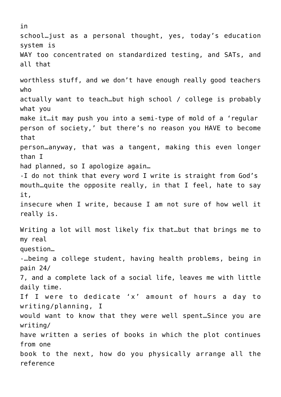in school…just as a personal thought, yes, today's education system is WAY too concentrated on standardized testing, and SATs, and all that worthless stuff, and we don't have enough really good teachers who actually want to teach…but high school / college is probably what you make it…it may push you into a semi-type of mold of a 'regular person of society,' but there's no reason you HAVE to become that person…anyway, that was a tangent, making this even longer than I had planned, so I apologize again… -I do not think that every word I write is straight from God's mouth…quite the opposite really, in that I feel, hate to say it, insecure when I write, because I am not sure of how well it really is. Writing a lot will most likely fix that…but that brings me to my real question… -…being a college student, having health problems, being in pain 24/ 7, and a complete lack of a social life, leaves me with little daily time. If I were to dedicate 'x' amount of hours a day to writing/planning, I would want to know that they were well spent…Since you are writing/ have written a series of books in which the plot continues from one book to the next, how do you physically arrange all the reference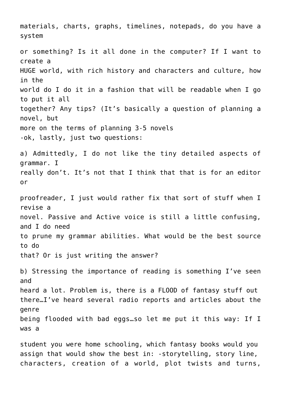materials, charts, graphs, timelines, notepads, do you have a system or something? Is it all done in the computer? If I want to create a HUGE world, with rich history and characters and culture, how in the world do I do it in a fashion that will be readable when I go to put it all together? Any tips? (It's basically a question of planning a novel, but more on the terms of planning 3-5 novels -ok, lastly, just two questions: a) Admittedly, I do not like the tiny detailed aspects of grammar. I really don't. It's not that I think that that is for an editor or proofreader, I just would rather fix that sort of stuff when I revise a novel. Passive and Active voice is still a little confusing, and I do need to prune my grammar abilities. What would be the best source to do that? Or is just writing the answer? b) Stressing the importance of reading is something I've seen and heard a lot. Problem is, there is a FLOOD of fantasy stuff out there…I've heard several radio reports and articles about the genre being flooded with bad eggs…so let me put it this way: If I was a

student you were home schooling, which fantasy books would you assign that would show the best in: -storytelling, story line, characters, creation of a world, plot twists and turns,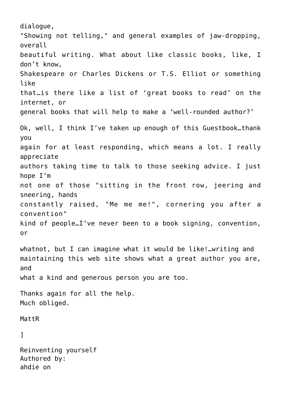dialogue, "Showing not telling," and general examples of jaw-dropping, overall beautiful writing. What about like classic books, like, I don't know, Shakespeare or Charles Dickens or T.S. Elliot or something like that…is there like a list of 'great books to read' on the internet, or general books that will help to make a 'well-rounded author?' Ok, well, I think I've taken up enough of this Guestbook…thank you again for at least responding, which means a lot. I really appreciate authors taking time to talk to those seeking advice. I just hope I'm not one of those "sitting in the front row, jeering and sneering, hands constantly raised, "Me me me!", cornering you after a convention" kind of people…I've never been to a book signing, convention, or whatnot, but I can imagine what it would be like!…writing and maintaining this web site shows what a great author you are, and what a kind and generous person you are too. Thanks again for all the help. Much obliged. MattR ] Reinventing yourself Authored by: [ahdie](https://hollylisle.com/writingdiary/users.php?mode=profile&uid=277) on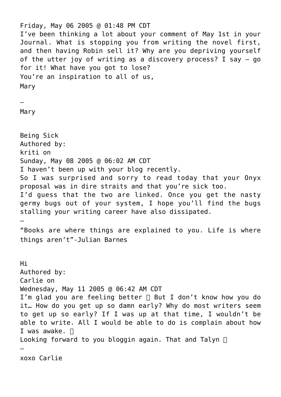Friday, May 06 2005 @ 01:48 PM CDT I've been thinking a lot about your comment of May 1st in your Journal. What is stopping you from writing the novel first, and then having Robin sell it? Why are you depriving yourself of the utter joy of writing as a discovery process? I say – go for it! What have you got to lose? You're an inspiration to all of us, Mary — Mary Being Sick Authored by: [kriti](https://hollylisle.com/writingdiary/users.php?mode=profile&uid=404) on Sunday, May 08 2005 @ 06:02 AM CDT I haven't been up with your blog recently. So I was surprised and sorry to read today that your Onyx proposal was in dire straits and that you're sick too. I'd guess that the two are linked. Once you get the nasty germy bugs out of your system, I hope you'll find the bugs stalling your writing career have also dissipated. — "Books are where things are explained to you. Life is where things aren't"-Julian Barnes Hi Authored by: [Carlie](https://hollylisle.com/writingdiary/users.php?mode=profile&uid=86) on Wednesday, May 11 2005 @ 06:42 AM CDT I'm glad you are feeling better  $\Box$  But I don't know how you do it… How do you get up so damn early? Why do most writers seem to get up so early? If I was up at that time, I wouldn't be able to write. All I would be able to do is complain about how I was awake.  $\Box$ Looking forward to you bloggin again. That and Talyn  $\Box$  xoxo Carlie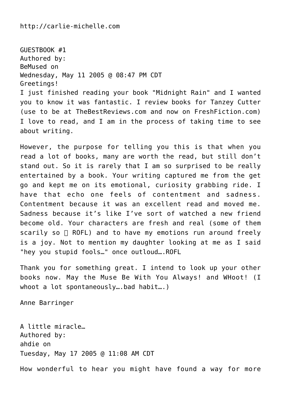http://carlie-michelle.com

GUESTBOOK #1 Authored by: [BeMused](https://hollylisle.com/writingdiary/users.php?mode=profile&uid=509) on Wednesday, May 11 2005 @ 08:47 PM CDT Greetings! I just finished reading your book "Midnight Rain" and I wanted you to know it was fantastic. I review books for Tanzey Cutter (use to be at TheBestReviews.com and now on FreshFiction.com) I love to read, and I am in the process of taking time to see about writing.

However, the purpose for telling you this is that when you read a lot of books, many are worth the read, but still don't stand out. So it is rarely that I am so surprised to be really entertained by a book. Your writing captured me from the get go and kept me on its emotional, curiosity grabbing ride. I have that echo one feels of contentment and sadness. Contentment because it was an excellent read and moved me. Sadness because it's like I've sort of watched a new friend become old. Your characters are fresh and real (some of them scarily so  $\Box$  ROFL) and to have my emotions run around freely is a joy. Not to mention my daughter looking at me as I said "hey you stupid fools…" once outloud….ROFL

Thank you for something great. I intend to look up your other books now. May the Muse Be With You Always! and WHoot! (I whoot a lot spontaneously...bad habit...)

Anne Barringer

A little miracle… Authored by: [ahdie](https://hollylisle.com/writingdiary/users.php?mode=profile&uid=277) on Tuesday, May 17 2005 @ 11:08 AM CDT

How wonderful to hear you might have found a way for more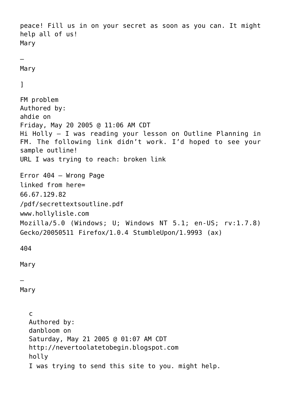peace! Fill us in on your secret as soon as you can. It might help all of us! Mary — Mary ] FM problem Authored by: [ahdie](https://hollylisle.com/writingdiary/users.php?mode=profile&uid=277) on Friday, May 20 2005 @ 11:06 AM CDT Hi Holly – I was reading your lesson on Outline Planning in FM. The following link didn't work. I'd hoped to see your sample outline! URL I was trying to reach: [broken link](https://www.hollylisle.com/pdf/secrettextsoutline.pdf) Error 404 — Wrong Page [linked from here=](http://www.fmwriters.com/community/dc/dcboard.php?az=show_topic&forum=25&topic_id=63&mesg_id=63&page) 66.67.129.82 /pdf/secrettextsoutline.pdf [www.hollylisle.com](https://www.hollylisle.com) Mozilla/5.0 (Windows; U; Windows NT 5.1; en-US; rv:1.7.8) Gecko/20050511 Firefox/1.0.4 StumbleUpon/1.9993 (ax) 404 Mary — Mary c Authored by: [danbloom](https://hollylisle.com/writingdiary/users.php?mode=profile&uid=549) on Saturday, May 21 2005 @ 01:07 AM CDT <http://nevertoolatetobegin.blogspot.com> holly I was trying to send this site to you. might help.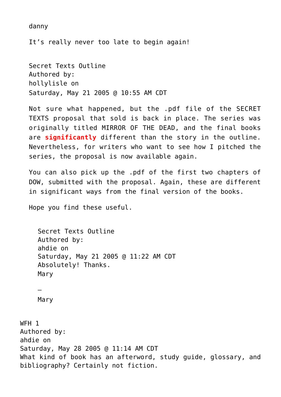danny

It's really never too late to begin again!

Secret Texts Outline Authored by: [hollylisle](https://hollylisle.com/writingdiary/users.php?mode=profile&uid=2) on Saturday, May 21 2005 @ 10:55 AM CDT

Not sure what happened, but the .pdf file of the [SECRET](https://hollylisle.com/pdf/secrettextsoutline.pdf) [TEXTS proposal that sold](https://hollylisle.com/pdf/secrettextsoutline.pdf) is back in place. The series was originally titled MIRROR OF THE DEAD, and the final books are **significantly** different than the story in the outline. Nevertheless, for writers who want to see how I pitched the series, the proposal is now available again.

You can also pick up the .pdf of the first two [chapters of](https://hollylisle.com/pdf/DOW_proposal_chaps.pdf) [DOW,](https://hollylisle.com/pdf/DOW_proposal_chaps.pdf) submitted with the proposal. Again, these are different in significant ways from the final version of the books.

Hope you find these useful.

```
Secret Texts Outline
Authored by:
ahdie on
Saturday, May 21 2005 @ 11:22 AM CDT
Absolutely! Thanks.
Mary
```

```
—
Mary
```

```
WFH 1
Authored by:
ahdie on
Saturday, May 28 2005 @ 11:14 AM CDT
What kind of book has an afterword, study guide, glossary, and
bibliography? Certainly not fiction.
```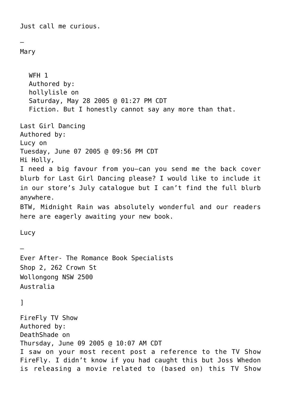Just call me curious.

— Mary

WFH 1 Authored by: [hollylisle](https://hollylisle.com/writingdiary/users.php?mode=profile&uid=2) on Saturday, May 28 2005 @ 01:27 PM CDT Fiction. But I honestly cannot say any more than that. Last Girl Dancing Authored by: [Lucy](https://hollylisle.com/writingdiary/users.php?mode=profile&uid=604) on Tuesday, June 07 2005 @ 09:56 PM CDT Hi Holly, I need a big favour from you–can you send me the back cover blurb for Last Girl Dancing please? I would like to include it in our store's July catalogue but I can't find the full blurb anywhere. BTW, Midnight Rain was absolutely wonderful and our readers here are eagerly awaiting your new book. Lucy — Ever After- The Romance Book Specialists Shop 2, 262 Crown St Wollongong NSW 2500 Australia ] FireFly TV Show Authored by: [DeathShade](https://hollylisle.com/writingdiary/users.php?mode=profile&uid=612) on Thursday, June 09 2005 @ 10:07 AM CDT I saw on your most recent post a reference to the TV Show FireFly. I didn't know if you had caught this but Joss Whedon is releasing a movie related to (based on) this TV Show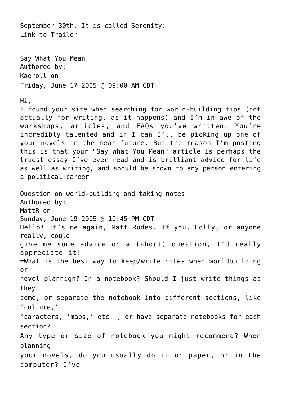September 30th. It is called Serenity: [Link to Trailer](http://www.apple.com/trailers/universal/serenity/) Say What You Mean Authored by: [Kaeroll](https://hollylisle.com/writingdiary/users.php?mode=profile&uid=625) on Friday, June 17 2005 @ 09:00 AM CDT Hi, I found your site when searching for world-building tips (not actually for writing, as it happens) and I'm in awe of the workshops, articles, and FAQs you've written. You're incredibly talented and if I can I'll be picking up one of your novels in the near future. But the reason I'm posting this is that your "Say What You Mean" article is perhaps the truest essay I've ever read and is brilliant advice for life as well as writing, and should be shown to any person entering a political career. Question on world-building and taking notes Authored by: [MattR](https://hollylisle.com/writingdiary/users.php?mode=profile&uid=477) on Sunday, June 19 2005 @ 10:45 PM CDT Hello! It's me again, Matt Rudes. If you, Holly, or anyone really, could give me some advice on a (short) question, I'd really appreciate it! =What is the best way to keep/write notes when worldbuilding or novel plannign? In a notebook? Should I just write things as they come, or separate the notebook into different sections, like 'culture,' 'caracters, 'maps,' etc. , or have separate notebooks for each section? Any type or size of notebook you might recommend? When planning your novels, do you usually do it on paper, or in the computer? I've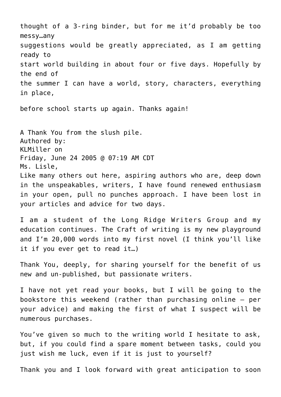thought of a 3-ring binder, but for me it'd probably be too messy…any suggestions would be greatly appreciated, as I am getting ready to start world building in about four or five days. Hopefully by the end of the summer I can have a world, story, characters, everything in place,

before school starts up again. Thanks again!

A Thank You from the slush pile. Authored by: [KLMiller](https://hollylisle.com/writingdiary/users.php?mode=profile&uid=633) on Friday, June 24 2005 @ 07:19 AM CDT Ms. Lisle, Like many others out here, aspiring authors who are, deep down in the unspeakables, writers, I have found renewed enthusiasm in your open, pull no punches approach. I have been lost in your articles and advice for two days.

I am a student of the Long Ridge Writers Group and my education continues. The Craft of writing is my new playground and I'm 20,000 words into my first novel (I think you'll like it if you ever get to read it…)

Thank You, deeply, for sharing yourself for the benefit of us new and un-published, but passionate writers.

I have not yet read your books, but I will be going to the bookstore this weekend (rather than purchasing online – per your advice) and making the first of what I suspect will be numerous purchases.

You've given so much to the writing world I hesitate to ask, but, if you could find a spare moment between tasks, could you just wish me luck, even if it is just to yourself?

Thank you and I look forward with great anticipation to soon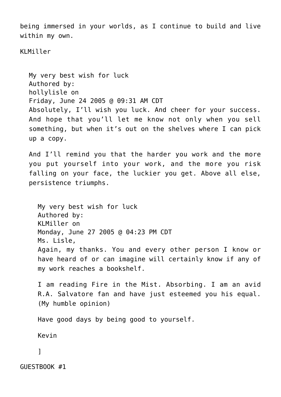being immersed in your worlds, as I continue to build and live within my own.

KLMiller

My very best wish for luck Authored by: [hollylisle](https://hollylisle.com/writingdiary/users.php?mode=profile&uid=2) on Friday, June 24 2005 @ 09:31 AM CDT Absolutely, I'll wish you luck. And cheer for your success. And hope that you'll let me know not only when you sell something, but when it's out on the shelves where I can pick up a copy.

And I'll remind you that the harder you work and the more you put yourself into your work, and the more you risk falling on your face, the luckier you get. Above all else, persistence triumphs.

My very best wish for luck Authored by: [KLMiller](https://hollylisle.com/writingdiary/users.php?mode=profile&uid=633) on Monday, June 27 2005 @ 04:23 PM CDT Ms. Lisle, Again, my thanks. You and every other person I know or have heard of or can imagine will certainly know if any of my work reaches a bookshelf.

I am reading Fire in the Mist. Absorbing. I am an avid R.A. Salvatore fan and have just esteemed you his equal. (My humble opinion)

Have good days by being good to yourself.

Kevin

]

GUESTBOOK #1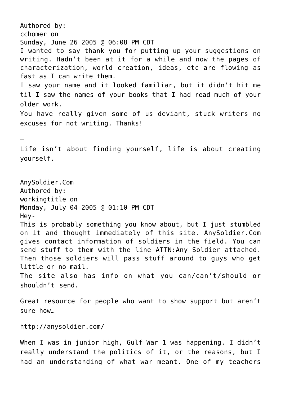Authored by: [cchomer](https://hollylisle.com/writingdiary/users.php?mode=profile&uid=637) on Sunday, June 26 2005 @ 06:08 PM CDT I wanted to say thank you for putting up your suggestions on writing. Hadn't been at it for a while and now the pages of characterization, world creation, ideas, etc are flowing as fast as I can write them. I saw your name and it looked familiar, but it didn't hit me til I saw the names of your books that I had read much of your older work. You have really given some of us deviant, stuck writers no excuses for not writing. Thanks! — Life isn't about finding yourself, life is about creating yourself. AnySoldier.Com Authored by: [workingtitle](https://hollylisle.com/writingdiary/users.php?mode=profile&uid=338) on Monday, July 04 2005 @ 01:10 PM CDT Hey-This is probably something you know about, but I just stumbled on it and thought immediately of this site. AnySoldier.Com gives contact information of soldiers in the field. You can send stuff to them with the line ATTN:Any Soldier attached. Then those soldiers will pass stuff around to guys who get little or no mail. The site also has info on what you can/can't/should or shouldn't send. Great resource for people who want to show support but aren't sure how…

<http://anysoldier.com/>

When I was in junior high, Gulf War 1 was happening. I didn't really understand the politics of it, or the reasons, but I had an understanding of what war meant. One of my teachers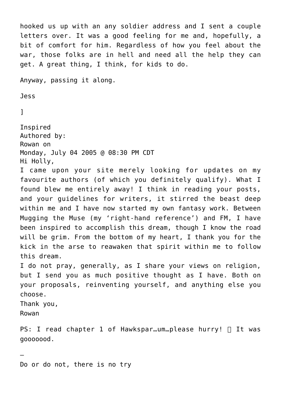hooked us up with an any soldier address and I sent a couple letters over. It was a good feeling for me and, hopefully, a bit of comfort for him. Regardless of how you feel about the war, those folks are in hell and need all the help they can get. A great thing, I think, for kids to do. Anyway, passing it along. Jess ] Inspired Authored by: [Rowan](https://hollylisle.com/writingdiary/users.php?mode=profile&uid=630) on Monday, July 04 2005 @ 08:30 PM CDT Hi Holly, I came upon your site merely looking for updates on my favourite authors (of which you definitely qualify). What I found blew me entirely away! I think in reading your posts, and your guidelines for writers, it stirred the beast deep within me and I have now started my own fantasy work. Between Mugging the Muse (my 'right-hand reference') and FM, I have been inspired to accomplish this dream, though I know the road will be grim. From the bottom of my heart, I thank you for the kick in the arse to reawaken that spirit within me to follow this dream. I do not pray, generally, as I share your views on religion, but I send you as much positive thought as I have. Both on your proposals, reinventing yourself, and anything else you choose. Thank you, Rowan PS: I read chapter 1 of Hawkspar…um…please hurry!  $\Box$  It was gooooood. — Do or do not, there is no try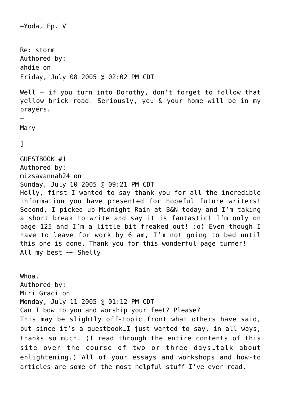–Yoda, Ep. V Re: storm Authored by: [ahdie](https://hollylisle.com/writingdiary/users.php?mode=profile&uid=277) on Friday, July 08 2005 @ 02:02 PM CDT Well – if you turn into Dorothy, don't forget to follow that yellow brick road. Seriously, you & your home will be in my prayers. — Mary ] GUESTBOOK #1 Authored by: [mizsavannah24](https://hollylisle.com/writingdiary/users.php?mode=profile&uid=459) on Sunday, July 10 2005 @ 09:21 PM CDT Holly, first I wanted to say thank you for all the incredible information you have presented for hopeful future writers! Second, I picked up Midnight Rain at B&N today and I'm taking a short break to write and say it is fantastic! I'm only on page 125 and I'm a little bit freaked out! :o) Even though I have to leave for work by 6 am, I'm not going to bed until this one is done. Thank you for this wonderful page turner! All my best  $\sim$  Shelly Whoa. Authored by: [Miri Graci](https://hollylisle.com/writingdiary/users.php?mode=profile&uid=676) on Monday, July 11 2005 @ 01:12 PM CDT Can I bow to you and worship your feet? Please? This may be slightly off-topic front what others have said, but since it's a guestbook…I just wanted to say, in all ways, thanks so much. (I read through the entire contents of this site over the course of two or three days…talk about enlightening.) All of your essays and workshops and how-to articles are some of the most helpful stuff I've ever read.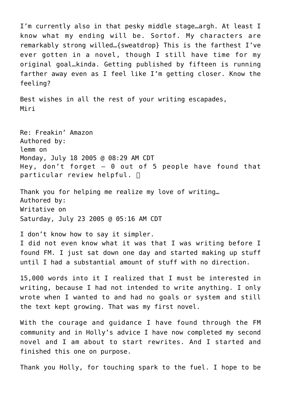I'm currently also in that pesky middle stage…argh. At least I know what my ending will be. Sortof. My characters are remarkably strong willed…{sweatdrop} This is the farthest I've ever gotten in a novel, though I still have time for my original goal…kinda. Getting published by fifteen is running farther away even as I feel like I'm getting closer. Know the feeling?

Best wishes in all the rest of your writing escapades, Miri

Re: Freakin' Amazon Authored by: [lemm](https://hollylisle.com/writingdiary/users.php?mode=profile&uid=312) on Monday, July 18 2005 @ 08:29 AM CDT Hey, don't forget  $-$  0 out of 5 people have found that particular review helpful.  $\Box$ 

Thank you for helping me realize my love of writing… Authored by: [Writative](https://hollylisle.com/writingdiary/users.php?mode=profile&uid=692) on Saturday, July 23 2005 @ 05:16 AM CDT

I don't know how to say it simpler. I did not even know what it was that I was writing before I found FM. I just sat down one day and started making up stuff until I had a substantial amount of stuff with no direction.

15,000 words into it I realized that I must be interested in writing, because I had not intended to write anything. I only wrote when I wanted to and had no goals or system and still the text kept growing. That was my first novel.

With the courage and guidance I have found through the FM community and in Holly's advice I have now completed my second novel and I am about to start rewrites. And I started and finished this one on purpose.

Thank you Holly, for touching spark to the fuel. I hope to be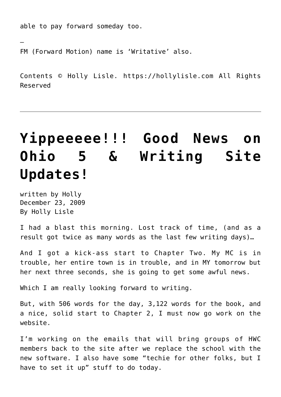able to pay forward someday too.

—

FM (Forward Motion) name is 'Writative' also.

Contents © Holly Lisle. <https://hollylisle.com> All Rights Reserved

## **[Yippeeeee!!! Good News on](https://hollylisle.com/yippeeeee-good-on-ohio-5-writing-site-updates/) [Ohio 5 & Writing Site](https://hollylisle.com/yippeeeee-good-on-ohio-5-writing-site-updates/) [Updates!](https://hollylisle.com/yippeeeee-good-on-ohio-5-writing-site-updates/)**

written by Holly December 23, 2009 [By Holly Lisle](https://hollylisle.com)

I had a blast this morning. Lost track of time, (and as a result got twice as many words as the last few writing days)…

And I got a kick-ass start to Chapter Two. My MC is in trouble, her entire town is in trouble, and in MY tomorrow but her next three seconds, she is going to get some awful news.

Which I am really looking forward to writing.

But, with 506 words for the day, 3,122 words for the book, and a nice, solid start to Chapter 2, I must now go work on the website.

I'm working on the emails that will bring groups of HWC members back to the site after we replace the school with the new software. I also have some "techie for other folks, but I have to set it up" stuff to do today.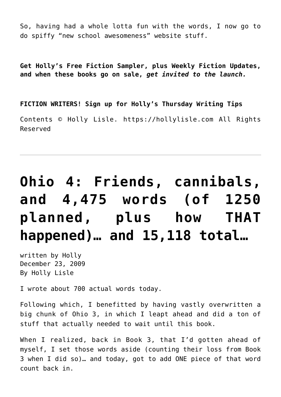So, having had a whole lotta fun with the words, I now go to do spiffy "new school awesomeness" website stuff.

**Get Holly's Free Fiction Sampler, plus Weekly Fiction Updates, and when these books go on sale,** *get invited to the launch.*

**FICTION WRITERS! Sign up for Holly's Thursday Writing Tips**

Contents © Holly Lisle. <https://hollylisle.com> All Rights Reserved

# **[Ohio 4: Friends, cannibals,](https://hollylisle.com/ohio-4-friends-cannibals-and-4475-words-of-1250-planned-plus-how-that-happened-and-15118-total/) [and 4,475 words \(of 1250](https://hollylisle.com/ohio-4-friends-cannibals-and-4475-words-of-1250-planned-plus-how-that-happened-and-15118-total/) [planned, plus how THAT](https://hollylisle.com/ohio-4-friends-cannibals-and-4475-words-of-1250-planned-plus-how-that-happened-and-15118-total/) [happened\)… and 15,118 total…](https://hollylisle.com/ohio-4-friends-cannibals-and-4475-words-of-1250-planned-plus-how-that-happened-and-15118-total/)**

written by Holly December 23, 2009 [By Holly Lisle](https://hollylisle.com)

I wrote about 700 actual words today.

Following which, I benefitted by having vastly overwritten a big chunk of Ohio 3, in which I leapt ahead and did a ton of stuff that actually needed to wait until this book.

When I realized, back in Book 3, that I'd gotten ahead of myself, I set those words aside (counting their loss from Book 3 when I did so)… and today, got to add ONE piece of that word count back in.